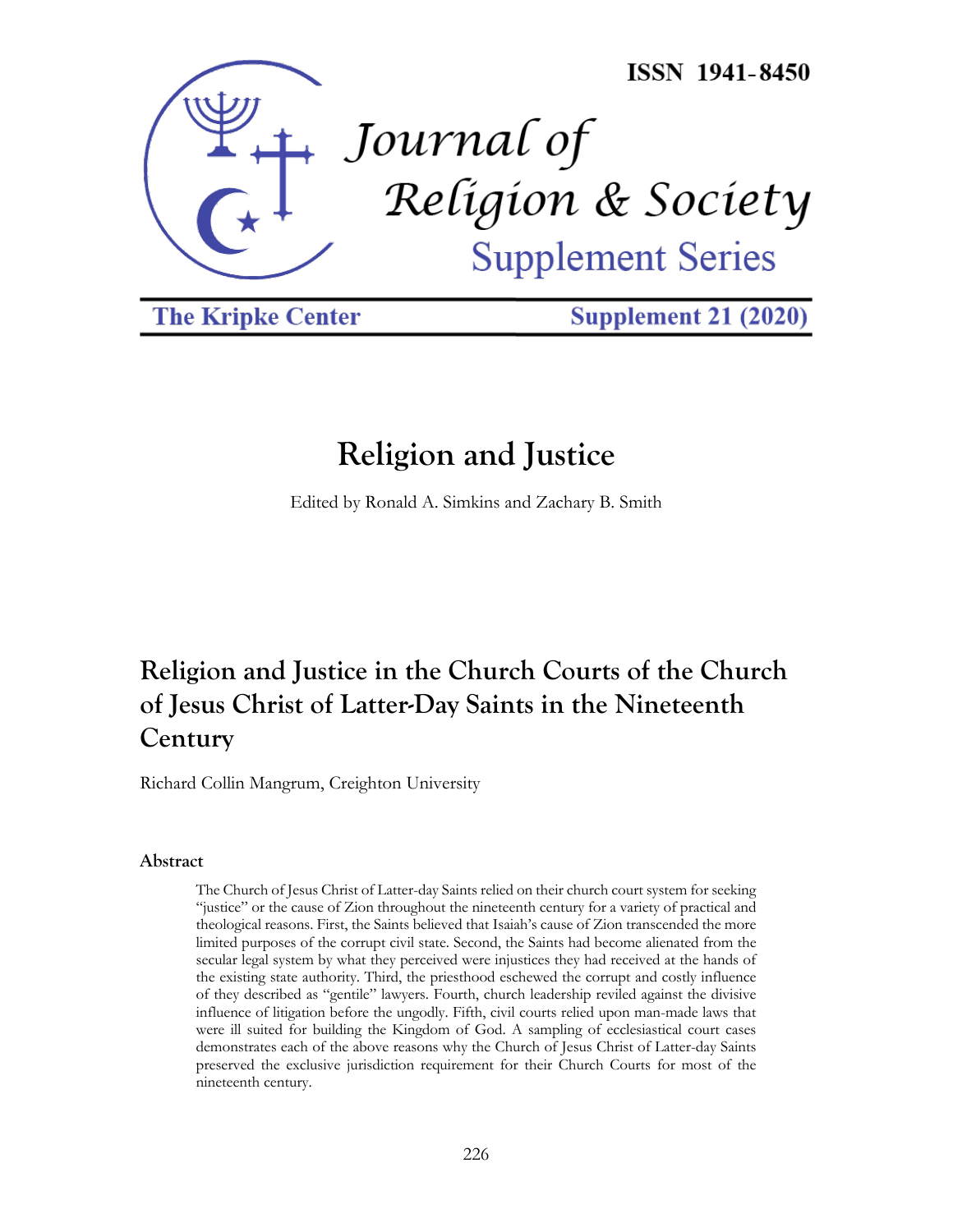

**The Kripke Center** 

**Supplement 21 (2020)** 

# **Religion and Justice**

Edited by Ronald A. Simkins and Zachary B. Smith

## **Religion and Justice in the Church Courts of the Church of Jesus Christ of Latter-Day Saints in the Nineteenth Century**

Richard Collin Mangrum, Creighton University

#### **Abstract**

The Church of Jesus Christ of Latter-day Saints relied on their church court system for seeking "justice" or the cause of Zion throughout the nineteenth century for a variety of practical and theological reasons. First, the Saints believed that Isaiah's cause of Zion transcended the more limited purposes of the corrupt civil state. Second, the Saints had become alienated from the secular legal system by what they perceived were injustices they had received at the hands of the existing state authority. Third, the priesthood eschewed the corrupt and costly influence of they described as "gentile" lawyers. Fourth, church leadership reviled against the divisive influence of litigation before the ungodly. Fifth, civil courts relied upon man-made laws that were ill suited for building the Kingdom of God. A sampling of ecclesiastical court cases demonstrates each of the above reasons why the Church of Jesus Christ of Latter-day Saints preserved the exclusive jurisdiction requirement for their Church Courts for most of the nineteenth century.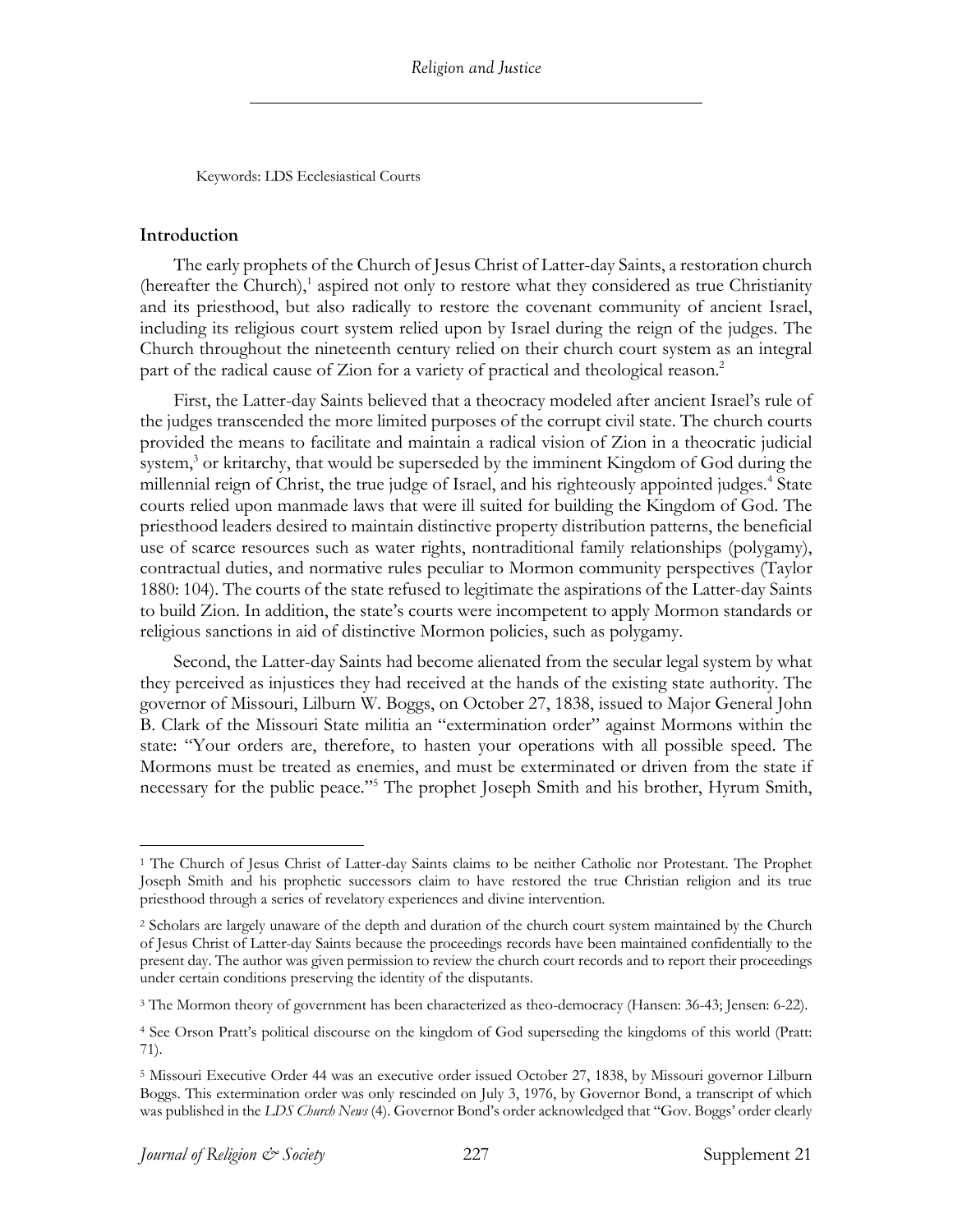Keywords: LDS Ecclesiastical Courts

#### **Introduction**

The early prophets of the Church of Jesus Christ of Latter-day Saints, a restoration church (hereafter the Church), <sup>1</sup> aspired not only to restore what they considered as true Christianity and its priesthood, but also radically to restore the covenant community of ancient Israel, including its religious court system relied upon by Israel during the reign of the judges. The Church throughout the nineteenth century relied on their church court system as an integral part of the radical cause of Zion for a variety of practical and theological reason. 2

First, the Latter-day Saints believed that a theocracy modeled after ancient Israel's rule of the judges transcended the more limited purposes of the corrupt civil state. The church courts provided the means to facilitate and maintain a radical vision of Zion in a theocratic judicial system, $3$  or kritarchy, that would be superseded by the imminent Kingdom of God during the millennial reign of Christ, the true judge of Israel, and his righteously appointed judges. <sup>4</sup> State courts relied upon manmade laws that were ill suited for building the Kingdom of God. The priesthood leaders desired to maintain distinctive property distribution patterns, the beneficial use of scarce resources such as water rights, nontraditional family relationships (polygamy), contractual duties, and normative rules peculiar to Mormon community perspectives (Taylor 1880: 104). The courts of the state refused to legitimate the aspirations of the Latter-day Saints to build Zion. In addition, the state's courts were incompetent to apply Mormon standards or religious sanctions in aid of distinctive Mormon policies, such as polygamy.

Second, the Latter-day Saints had become alienated from the secular legal system by what they perceived as injustices they had received at the hands of the existing state authority. The governor of Missouri, Lilburn W. Boggs, on October 27, 1838, issued to Major General John B. Clark of the Missouri State militia an "extermination order" against Mormons within the state: "Your orders are, therefore, to hasten your operations with all possible speed. The Mormons must be treated as enemies, and must be exterminated or driven from the state if necessary for the public peace."5 The prophet Joseph Smith and his brother, Hyrum Smith,

<sup>&</sup>lt;sup>1</sup> The Church of Jesus Christ of Latter-day Saints claims to be neither Catholic nor Protestant. The Prophet Joseph Smith and his prophetic successors claim to have restored the true Christian religion and its true priesthood through a series of revelatory experiences and divine intervention.

<sup>2</sup> Scholars are largely unaware of the depth and duration of the church court system maintained by the Church of Jesus Christ of Latter-day Saints because the proceedings records have been maintained confidentially to the present day. The author was given permission to review the church court records and to report their proceedings under certain conditions preserving the identity of the disputants.

<sup>3</sup> The Mormon theory of government has been characterized as theo-democracy (Hansen: 36-43; Jensen: 6-22).

<sup>4</sup> See Orson Pratt's political discourse on the kingdom of God superseding the kingdoms of this world (Pratt: 71).

<sup>5</sup> Missouri Executive Order 44 was an executive order issued October 27, 1838, by Missouri governor Lilburn Boggs. This extermination order was only rescinded on July 3, 1976, by Governor Bond, a transcript of which was published in the *LDS Church News* (4). Governor Bond's order acknowledged that "Gov. Boggs' order clearly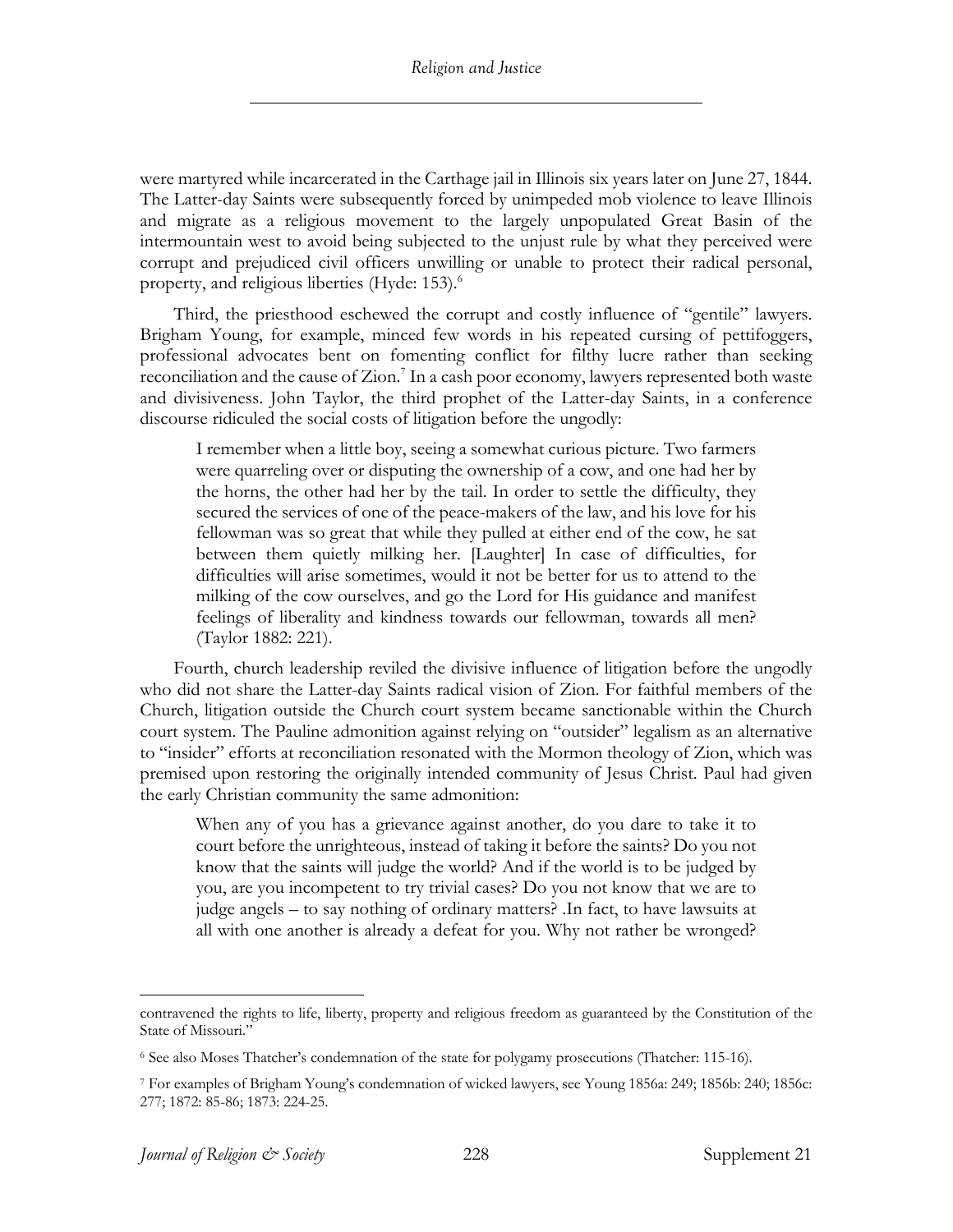were martyred while incarcerated in the Carthage jail in Illinois six years later on June 27, 1844. The Latter-day Saints were subsequently forced by unimpeded mob violence to leave Illinois and migrate as a religious movement to the largely unpopulated Great Basin of the intermountain west to avoid being subjected to the unjust rule by what they perceived were corrupt and prejudiced civil officers unwilling or unable to protect their radical personal, property, and religious liberties (Hyde: 153). 6

Third, the priesthood eschewed the corrupt and costly influence of "gentile" lawyers. Brigham Young, for example, minced few words in his repeated cursing of pettifoggers, professional advocates bent on fomenting conflict for filthy lucre rather than seeking reconciliation and the cause of Zion. <sup>7</sup> In a cash poor economy, lawyers represented both waste and divisiveness. John Taylor, the third prophet of the Latter-day Saints, in a conference discourse ridiculed the social costs of litigation before the ungodly:

I remember when a little boy, seeing a somewhat curious picture. Two farmers were quarreling over or disputing the ownership of a cow, and one had her by the horns, the other had her by the tail. In order to settle the difficulty, they secured the services of one of the peace-makers of the law, and his love for his fellowman was so great that while they pulled at either end of the cow, he sat between them quietly milking her. [Laughter] In case of difficulties, for difficulties will arise sometimes, would it not be better for us to attend to the milking of the cow ourselves, and go the Lord for His guidance and manifest feelings of liberality and kindness towards our fellowman, towards all men? (Taylor 1882: 221).

Fourth, church leadership reviled the divisive influence of litigation before the ungodly who did not share the Latter-day Saints radical vision of Zion. For faithful members of the Church, litigation outside the Church court system became sanctionable within the Church court system. The Pauline admonition against relying on "outsider" legalism as an alternative to "insider" efforts at reconciliation resonated with the Mormon theology of Zion, which was premised upon restoring the originally intended community of Jesus Christ. Paul had given the early Christian community the same admonition:

When any of you has a grievance against another, do you dare to take it to court before the unrighteous, instead of taking it before the saints? Do you not know that the saints will judge the world? And if the world is to be judged by you, are you incompetent to try trivial cases? Do you not know that we are to judge angels – to say nothing of ordinary matters? .In fact, to have lawsuits at all with one another is already a defeat for you. Why not rather be wronged?

contravened the rights to life, liberty, property and religious freedom as guaranteed by the Constitution of the State of Missouri."

<sup>6</sup> See also Moses Thatcher's condemnation of the state for polygamy prosecutions (Thatcher: 115-16).

<sup>7</sup> For examples of Brigham Young's condemnation of wicked lawyers, see Young 1856a: 249; 1856b: 240; 1856c: 277; 1872: 85-86; 1873: 224-25.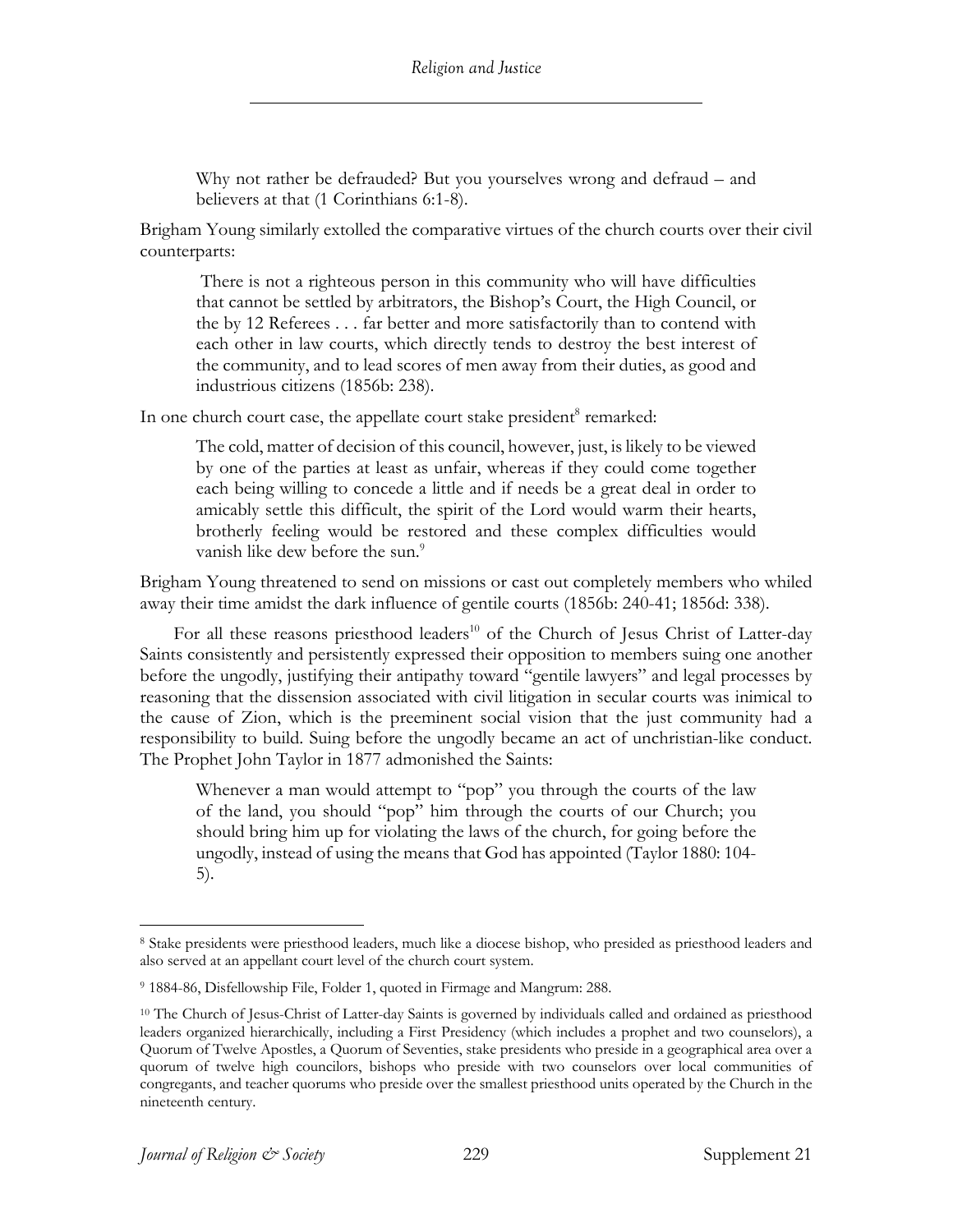Why not rather be defrauded? But you yourselves wrong and defraud – and believers at that (1 Corinthians 6:1-8).

Brigham Young similarly extolled the comparative virtues of the church courts over their civil counterparts:

There is not a righteous person in this community who will have difficulties that cannot be settled by arbitrators, the Bishop's Court, the High Council, or the by 12 Referees . . . far better and more satisfactorily than to contend with each other in law courts, which directly tends to destroy the best interest of the community, and to lead scores of men away from their duties, as good and industrious citizens (1856b: 238).

In one church court case, the appellate court stake president<sup>8</sup> remarked:

The cold, matter of decision of this council, however, just, is likely to be viewed by one of the parties at least as unfair, whereas if they could come together each being willing to concede a little and if needs be a great deal in order to amicably settle this difficult, the spirit of the Lord would warm their hearts, brotherly feeling would be restored and these complex difficulties would vanish like dew before the sun.<sup>9</sup>

Brigham Young threatened to send on missions or cast out completely members who whiled away their time amidst the dark influence of gentile courts (1856b: 240-41; 1856d: 338).

For all these reasons priesthood leaders<sup>10</sup> of the Church of Jesus Christ of Latter-day Saints consistently and persistently expressed their opposition to members suing one another before the ungodly, justifying their antipathy toward "gentile lawyers" and legal processes by reasoning that the dissension associated with civil litigation in secular courts was inimical to the cause of Zion, which is the preeminent social vision that the just community had a responsibility to build. Suing before the ungodly became an act of unchristian-like conduct. The Prophet John Taylor in 1877 admonished the Saints:

Whenever a man would attempt to "pop" you through the courts of the law of the land, you should "pop" him through the courts of our Church; you should bring him up for violating the laws of the church, for going before the ungodly, instead of using the means that God has appointed (Taylor 1880: 104- 5).

<sup>8</sup> Stake presidents were priesthood leaders, much like a diocese bishop, who presided as priesthood leaders and also served at an appellant court level of the church court system.

<sup>9</sup> 1884-86, Disfellowship File, Folder 1, quoted in Firmage and Mangrum: 288.

<sup>10</sup> The Church of Jesus-Christ of Latter-day Saints is governed by individuals called and ordained as priesthood leaders organized hierarchically, including a First Presidency (which includes a prophet and two counselors), a Quorum of Twelve Apostles, a Quorum of Seventies, stake presidents who preside in a geographical area over a quorum of twelve high councilors, bishops who preside with two counselors over local communities of congregants, and teacher quorums who preside over the smallest priesthood units operated by the Church in the nineteenth century.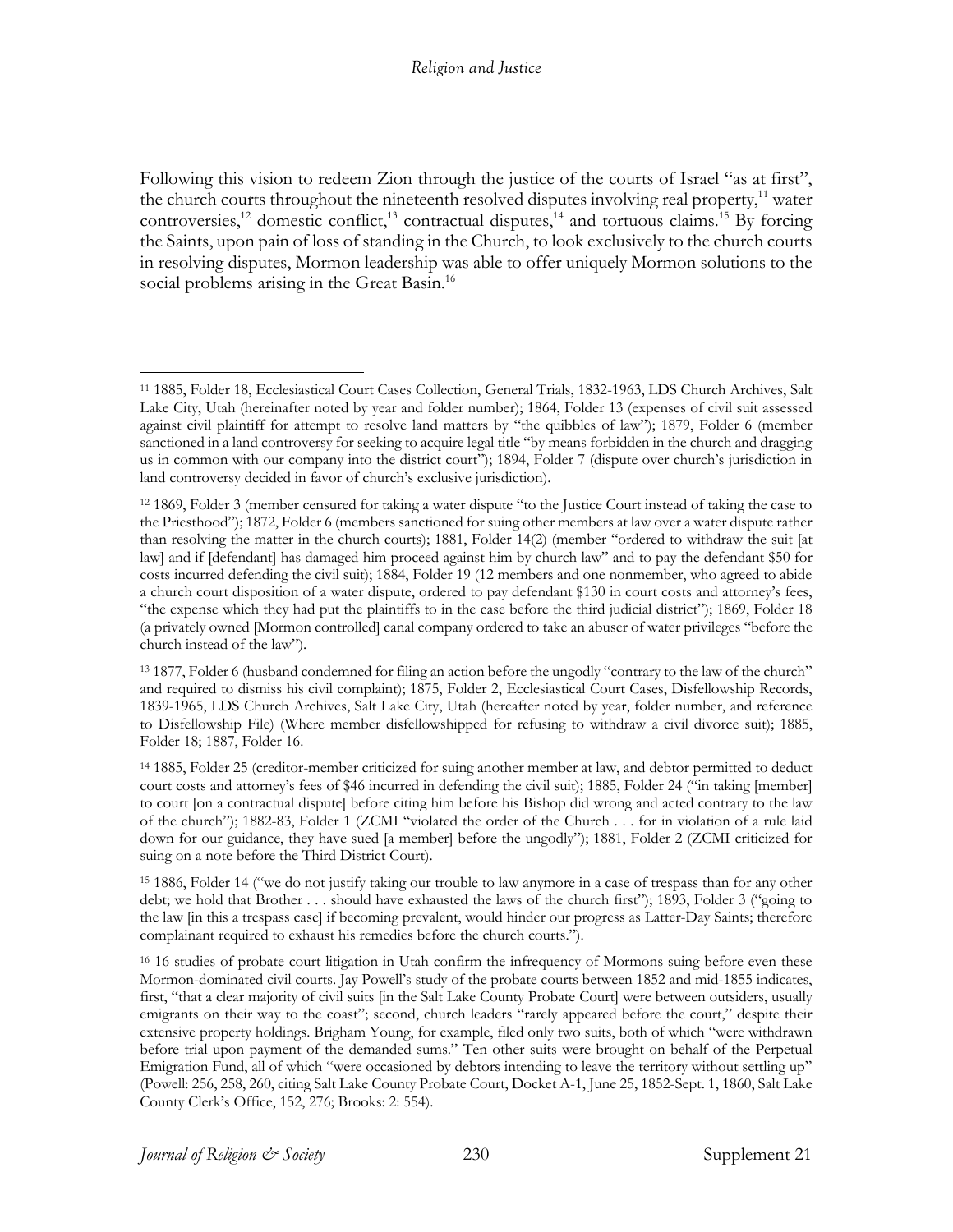Following this vision to redeem Zion through the justice of the courts of Israel "as at first", the church courts throughout the nineteenth resolved disputes involving real property,<sup>11</sup> water controversies,<sup>12</sup> domestic conflict,<sup>13</sup> contractual disputes,<sup>14</sup> and tortuous claims.<sup>15</sup> By forcing the Saints, upon pain of loss of standing in the Church, to look exclusively to the church courts in resolving disputes, Mormon leadership was able to offer uniquely Mormon solutions to the social problems arising in the Great Basin.<sup>16</sup>

<sup>11</sup> 1885, Folder 18, Ecclesiastical Court Cases Collection, General Trials, 1832-1963, LDS Church Archives, Salt Lake City, Utah (hereinafter noted by year and folder number); 1864, Folder 13 (expenses of civil suit assessed against civil plaintiff for attempt to resolve land matters by "the quibbles of law"); 1879, Folder 6 (member sanctioned in a land controversy for seeking to acquire legal title "by means forbidden in the church and dragging us in common with our company into the district court"); 1894, Folder 7 (dispute over church's jurisdiction in land controversy decided in favor of church's exclusive jurisdiction).

<sup>12</sup> 1869, Folder 3 (member censured for taking a water dispute "to the Justice Court instead of taking the case to the Priesthood"); 1872, Folder 6 (members sanctioned for suing other members at law over a water dispute rather than resolving the matter in the church courts); 1881, Folder 14(2) (member "ordered to withdraw the suit [at law] and if [defendant] has damaged him proceed against him by church law" and to pay the defendant \$50 for costs incurred defending the civil suit); 1884, Folder 19 (12 members and one nonmember, who agreed to abide a church court disposition of a water dispute, ordered to pay defendant \$130 in court costs and attorney's fees, "the expense which they had put the plaintiffs to in the case before the third judicial district"); 1869, Folder 18 (a privately owned [Mormon controlled] canal company ordered to take an abuser of water privileges "before the church instead of the law").

<sup>13</sup> 1877, Folder 6 (husband condemned for filing an action before the ungodly "contrary to the law of the church" and required to dismiss his civil complaint); 1875, Folder 2, Ecclesiastical Court Cases, Disfellowship Records, 1839-1965, LDS Church Archives, Salt Lake City, Utah (hereafter noted by year, folder number, and reference to Disfellowship File) (Where member disfellowshipped for refusing to withdraw a civil divorce suit); 1885, Folder 18; 1887, Folder 16.

<sup>14</sup> 1885, Folder 25 (creditor-member criticized for suing another member at law, and debtor permitted to deduct court costs and attorney's fees of \$46 incurred in defending the civil suit); 1885, Folder 24 ("in taking [member] to court [on a contractual dispute] before citing him before his Bishop did wrong and acted contrary to the law of the church"); 1882-83, Folder 1 (ZCMI "violated the order of the Church . . . for in violation of a rule laid down for our guidance, they have sued [a member] before the ungodly"); 1881, Folder 2 (ZCMI criticized for suing on a note before the Third District Court).

<sup>15</sup> 1886, Folder 14 ("we do not justify taking our trouble to law anymore in a case of trespass than for any other debt; we hold that Brother . . . should have exhausted the laws of the church first"); 1893, Folder 3 ("going to the law [in this a trespass case] if becoming prevalent, would hinder our progress as Latter-Day Saints; therefore complainant required to exhaust his remedies before the church courts.").

<sup>&</sup>lt;sup>16</sup> 16 studies of probate court litigation in Utah confirm the infrequency of Mormons suing before even these Mormon-dominated civil courts. Jay Powell's study of the probate courts between 1852 and mid-1855 indicates, first, "that a clear majority of civil suits [in the Salt Lake County Probate Court] were between outsiders, usually emigrants on their way to the coast"; second, church leaders "rarely appeared before the court," despite their extensive property holdings. Brigham Young, for example, filed only two suits, both of which "were withdrawn before trial upon payment of the demanded sums." Ten other suits were brought on behalf of the Perpetual Emigration Fund, all of which "were occasioned by debtors intending to leave the territory without settling up" (Powell: 256, 258, 260, citing Salt Lake County Probate Court, Docket A-1, June 25, 1852-Sept. 1, 1860, Salt Lake County Clerk's Office, 152, 276; Brooks: 2: 554).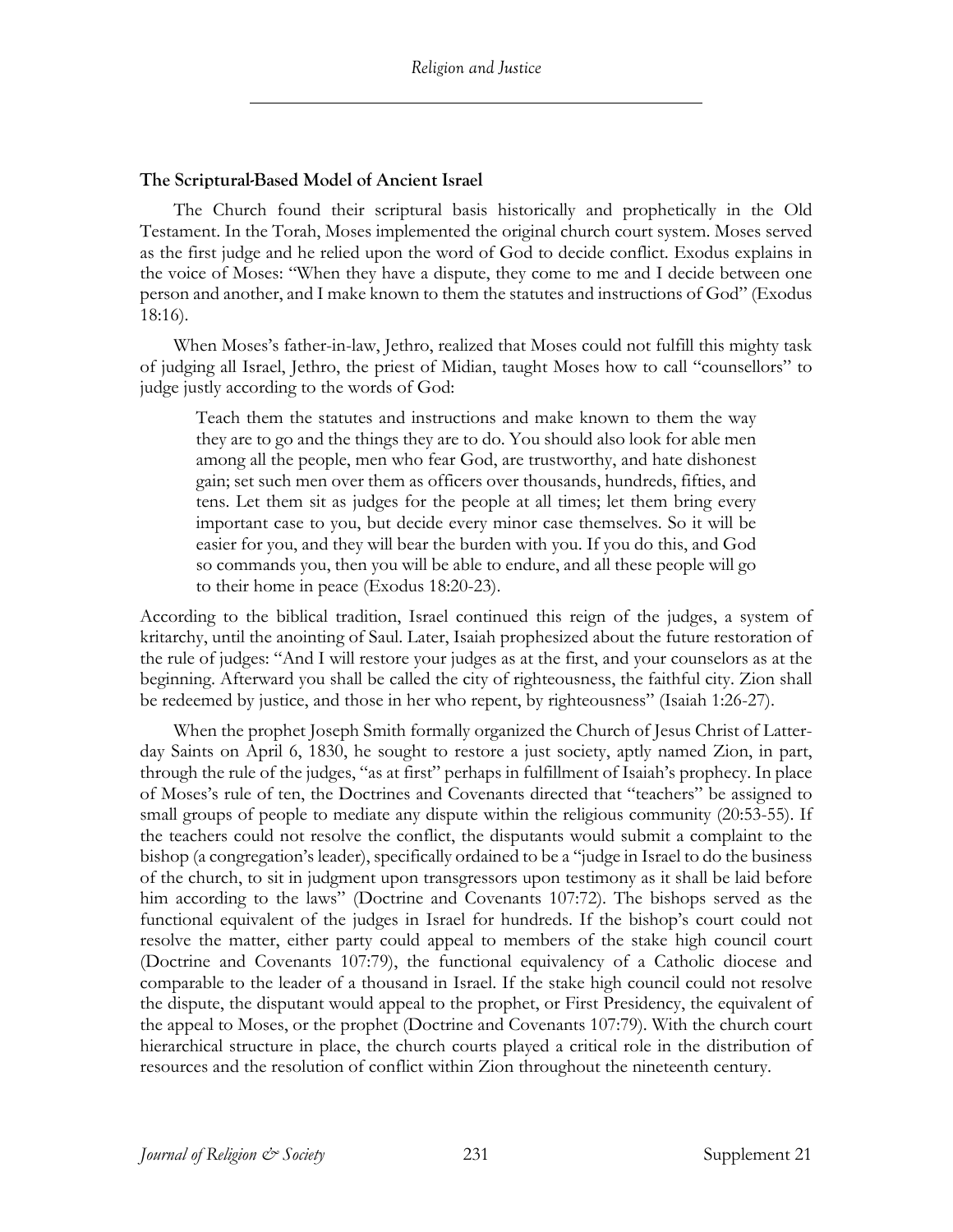#### **The Scriptural-Based Model of Ancient Israel**

The Church found their scriptural basis historically and prophetically in the Old Testament. In the Torah, Moses implemented the original church court system. Moses served as the first judge and he relied upon the word of God to decide conflict. Exodus explains in the voice of Moses: "When they have a dispute, they come to me and I decide between one person and another, and I make known to them the statutes and instructions of God" (Exodus 18:16).

When Moses's father-in-law, Jethro, realized that Moses could not fulfill this mighty task of judging all Israel, Jethro, the priest of Midian, taught Moses how to call "counsellors" to judge justly according to the words of God:

Teach them the statutes and instructions and make known to them the way they are to go and the things they are to do. You should also look for able men among all the people, men who fear God, are trustworthy, and hate dishonest gain; set such men over them as officers over thousands, hundreds, fifties, and tens. Let them sit as judges for the people at all times; let them bring every important case to you, but decide every minor case themselves. So it will be easier for you, and they will bear the burden with you. If you do this, and God so commands you, then you will be able to endure, and all these people will go to their home in peace (Exodus 18:20-23).

According to the biblical tradition, Israel continued this reign of the judges, a system of kritarchy, until the anointing of Saul. Later, Isaiah prophesized about the future restoration of the rule of judges: "And I will restore your judges as at the first, and your counselors as at the beginning. Afterward you shall be called the city of righteousness, the faithful city. Zion shall be redeemed by justice, and those in her who repent, by righteousness" (Isaiah 1:26-27).

When the prophet Joseph Smith formally organized the Church of Jesus Christ of Latterday Saints on April 6, 1830, he sought to restore a just society, aptly named Zion, in part, through the rule of the judges, "as at first" perhaps in fulfillment of Isaiah's prophecy. In place of Moses's rule of ten, the Doctrines and Covenants directed that "teachers" be assigned to small groups of people to mediate any dispute within the religious community (20:53-55). If the teachers could not resolve the conflict, the disputants would submit a complaint to the bishop (a congregation's leader), specifically ordained to be a "judge in Israel to do the business of the church, to sit in judgment upon transgressors upon testimony as it shall be laid before him according to the laws" (Doctrine and Covenants 107:72). The bishops served as the functional equivalent of the judges in Israel for hundreds. If the bishop's court could not resolve the matter, either party could appeal to members of the stake high council court (Doctrine and Covenants 107:79), the functional equivalency of a Catholic diocese and comparable to the leader of a thousand in Israel. If the stake high council could not resolve the dispute, the disputant would appeal to the prophet, or First Presidency, the equivalent of the appeal to Moses, or the prophet (Doctrine and Covenants 107:79). With the church court hierarchical structure in place, the church courts played a critical role in the distribution of resources and the resolution of conflict within Zion throughout the nineteenth century.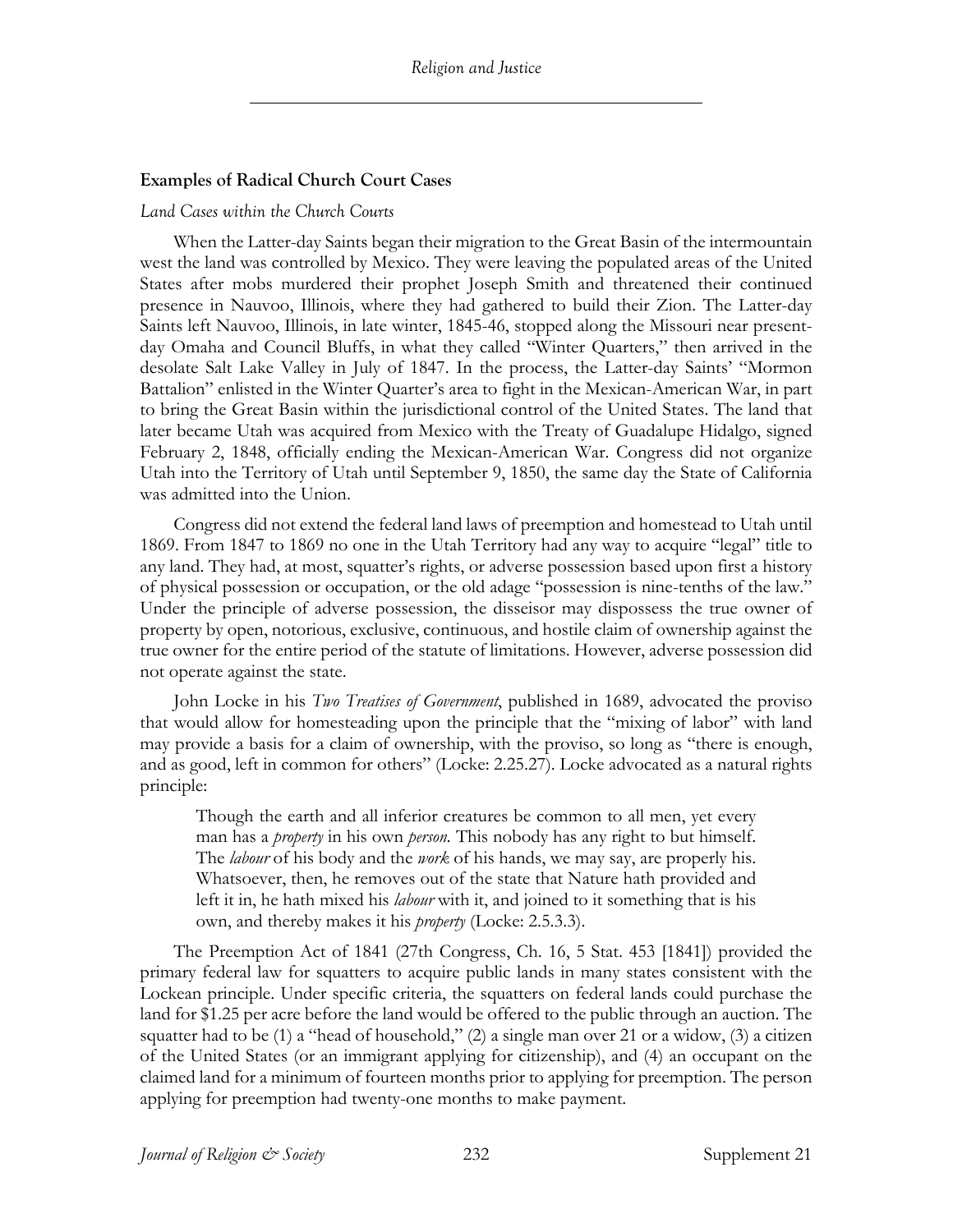#### **Examples of Radical Church Court Cases**

#### *Land Cases within the Church Courts*

When the Latter-day Saints began their migration to the Great Basin of the intermountain west the land was controlled by Mexico. They were leaving the populated areas of the United States after mobs murdered their prophet Joseph Smith and threatened their continued presence in Nauvoo, Illinois, where they had gathered to build their Zion. The Latter-day Saints left Nauvoo, Illinois, in late winter, 1845-46, stopped along the Missouri near presentday Omaha and Council Bluffs, in what they called "Winter Quarters," then arrived in the desolate Salt Lake Valley in July of 1847. In the process, the Latter-day Saints' "Mormon Battalion" enlisted in the Winter Quarter's area to fight in the Mexican-American War, in part to bring the Great Basin within the jurisdictional control of the United States. The land that later became Utah was acquired from Mexico with the Treaty of Guadalupe Hidalgo, signed February 2, 1848, officially ending the Mexican-American War. Congress did not organize Utah into the Territory of Utah until September 9, 1850, the same day the State of California was admitted into the Union.

Congress did not extend the federal land laws of preemption and homestead to Utah until 1869. From 1847 to 1869 no one in the Utah Territory had any way to acquire "legal" title to any land. They had, at most, squatter's rights, or adverse possession based upon first a history of physical possession or occupation, or the old adage "possession is nine-tenths of the law." Under the principle of adverse possession, the disseisor may dispossess the true owner of property by open, notorious, exclusive, continuous, and hostile claim of ownership against the true owner for the entire period of the statute of limitations. However, adverse possession did not operate against the state.

John Locke in his *Two Treatises of Government*, published in 1689, advocated the proviso that would allow for homesteading upon the principle that the "mixing of labor" with land may provide a basis for a claim of ownership, with the proviso, so long as "there is enough, and as good, left in common for others" (Locke: 2.25.27). Locke advocated as a natural rights principle:

Though the earth and all inferior creatures be common to all men, yet every man has a *property* in his own *person.* This nobody has any right to but himself. The *labour* of his body and the *work* of his hands, we may say, are properly his. Whatsoever, then, he removes out of the state that Nature hath provided and left it in, he hath mixed his *labour* with it, and joined to it something that is his own, and thereby makes it his *property* (Locke: 2.5.3.3).

The Preemption Act of 1841 (27th Congress, Ch. 16, 5 Stat. 453 [1841]) provided the primary federal law for squatters to acquire public lands in many states consistent with the Lockean principle. Under specific criteria, the squatters on federal lands could purchase the land for \$1.25 per acre before the land would be offered to the public through an auction. The squatter had to be (1) a "head of household," (2) a single man over 21 or a widow, (3) a citizen of the United States (or an immigrant applying for citizenship), and (4) an occupant on the claimed land for a minimum of fourteen months prior to applying for preemption. The person applying for preemption had twenty-one months to make payment.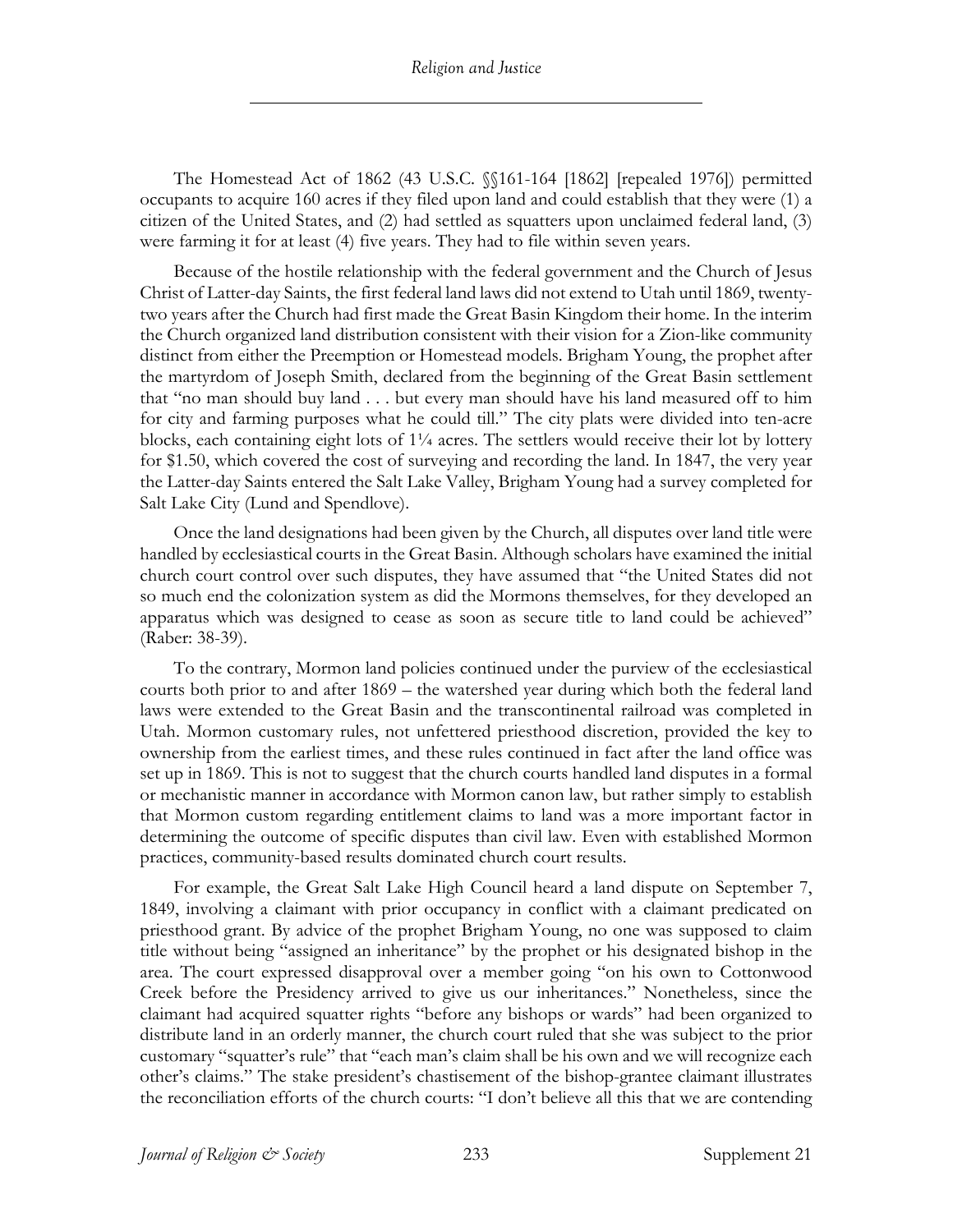The Homestead Act of 1862 (43 U.S.C. §§161-164 [1862] [repealed 1976]) permitted occupants to acquire 160 acres if they filed upon land and could establish that they were (1) a citizen of the United States, and (2) had settled as squatters upon unclaimed federal land, (3) were farming it for at least (4) five years. They had to file within seven years.

Because of the hostile relationship with the federal government and the Church of Jesus Christ of Latter-day Saints, the first federal land laws did not extend to Utah until 1869, twentytwo years after the Church had first made the Great Basin Kingdom their home. In the interim the Church organized land distribution consistent with their vision for a Zion-like community distinct from either the Preemption or Homestead models. Brigham Young, the prophet after the martyrdom of Joseph Smith, declared from the beginning of the Great Basin settlement that "no man should buy land . . . but every man should have his land measured off to him for city and farming purposes what he could till." The city plats were divided into ten-acre blocks, each containing eight lots of  $1/4$  acres. The settlers would receive their lot by lottery for \$1.50, which covered the cost of surveying and recording the land. In 1847, the very year the Latter-day Saints entered the Salt Lake Valley, Brigham Young had a survey completed for Salt Lake City (Lund and Spendlove).

Once the land designations had been given by the Church, all disputes over land title were handled by ecclesiastical courts in the Great Basin. Although scholars have examined the initial church court control over such disputes, they have assumed that "the United States did not so much end the colonization system as did the Mormons themselves, for they developed an apparatus which was designed to cease as soon as secure title to land could be achieved" (Raber: 38-39).

To the contrary, Mormon land policies continued under the purview of the ecclesiastical courts both prior to and after 1869 – the watershed year during which both the federal land laws were extended to the Great Basin and the transcontinental railroad was completed in Utah. Mormon customary rules, not unfettered priesthood discretion, provided the key to ownership from the earliest times, and these rules continued in fact after the land office was set up in 1869. This is not to suggest that the church courts handled land disputes in a formal or mechanistic manner in accordance with Mormon canon law, but rather simply to establish that Mormon custom regarding entitlement claims to land was a more important factor in determining the outcome of specific disputes than civil law. Even with established Mormon practices, community-based results dominated church court results.

For example, the Great Salt Lake High Council heard a land dispute on September 7, 1849, involving a claimant with prior occupancy in conflict with a claimant predicated on priesthood grant. By advice of the prophet Brigham Young, no one was supposed to claim title without being "assigned an inheritance" by the prophet or his designated bishop in the area. The court expressed disapproval over a member going "on his own to Cottonwood Creek before the Presidency arrived to give us our inheritances." Nonetheless, since the claimant had acquired squatter rights "before any bishops or wards" had been organized to distribute land in an orderly manner, the church court ruled that she was subject to the prior customary "squatter's rule" that "each man's claim shall be his own and we will recognize each other's claims." The stake president's chastisement of the bishop-grantee claimant illustrates the reconciliation efforts of the church courts: "I don't believe all this that we are contending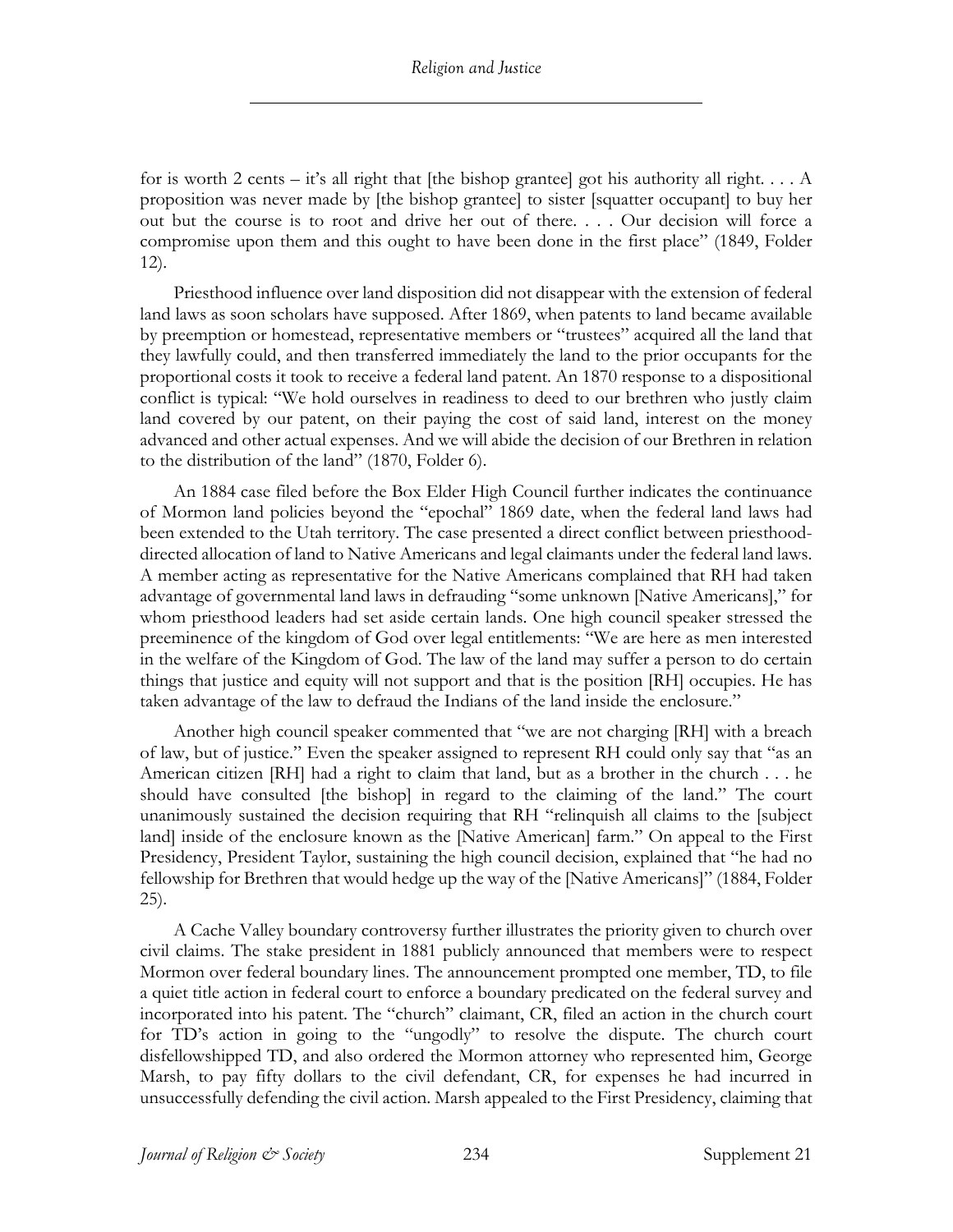for is worth 2 cents – it's all right that [the bishop grantee] got his authority all right.... A proposition was never made by [the bishop grantee] to sister [squatter occupant] to buy her out but the course is to root and drive her out of there. . . . Our decision will force a compromise upon them and this ought to have been done in the first place" (1849, Folder 12).

Priesthood influence over land disposition did not disappear with the extension of federal land laws as soon scholars have supposed. After 1869, when patents to land became available by preemption or homestead, representative members or "trustees" acquired all the land that they lawfully could, and then transferred immediately the land to the prior occupants for the proportional costs it took to receive a federal land patent. An 1870 response to a dispositional conflict is typical: "We hold ourselves in readiness to deed to our brethren who justly claim land covered by our patent, on their paying the cost of said land, interest on the money advanced and other actual expenses. And we will abide the decision of our Brethren in relation to the distribution of the land" (1870, Folder 6).

An 1884 case filed before the Box Elder High Council further indicates the continuance of Mormon land policies beyond the "epochal" 1869 date, when the federal land laws had been extended to the Utah territory. The case presented a direct conflict between priesthooddirected allocation of land to Native Americans and legal claimants under the federal land laws. A member acting as representative for the Native Americans complained that RH had taken advantage of governmental land laws in defrauding "some unknown [Native Americans]," for whom priesthood leaders had set aside certain lands. One high council speaker stressed the preeminence of the kingdom of God over legal entitlements: "We are here as men interested in the welfare of the Kingdom of God. The law of the land may suffer a person to do certain things that justice and equity will not support and that is the position [RH] occupies. He has taken advantage of the law to defraud the Indians of the land inside the enclosure."

Another high council speaker commented that "we are not charging [RH] with a breach of law, but of justice." Even the speaker assigned to represent RH could only say that "as an American citizen [RH] had a right to claim that land, but as a brother in the church . . . he should have consulted [the bishop] in regard to the claiming of the land." The court unanimously sustained the decision requiring that RH "relinquish all claims to the [subject land] inside of the enclosure known as the [Native American] farm." On appeal to the First Presidency, President Taylor, sustaining the high council decision, explained that "he had no fellowship for Brethren that would hedge up the way of the [Native Americans]" (1884, Folder 25).

A Cache Valley boundary controversy further illustrates the priority given to church over civil claims. The stake president in 1881 publicly announced that members were to respect Mormon over federal boundary lines. The announcement prompted one member, TD, to file a quiet title action in federal court to enforce a boundary predicated on the federal survey and incorporated into his patent. The "church" claimant, CR, filed an action in the church court for TD's action in going to the "ungodly" to resolve the dispute. The church court disfellowshipped TD, and also ordered the Mormon attorney who represented him, George Marsh, to pay fifty dollars to the civil defendant, CR, for expenses he had incurred in unsuccessfully defending the civil action. Marsh appealed to the First Presidency, claiming that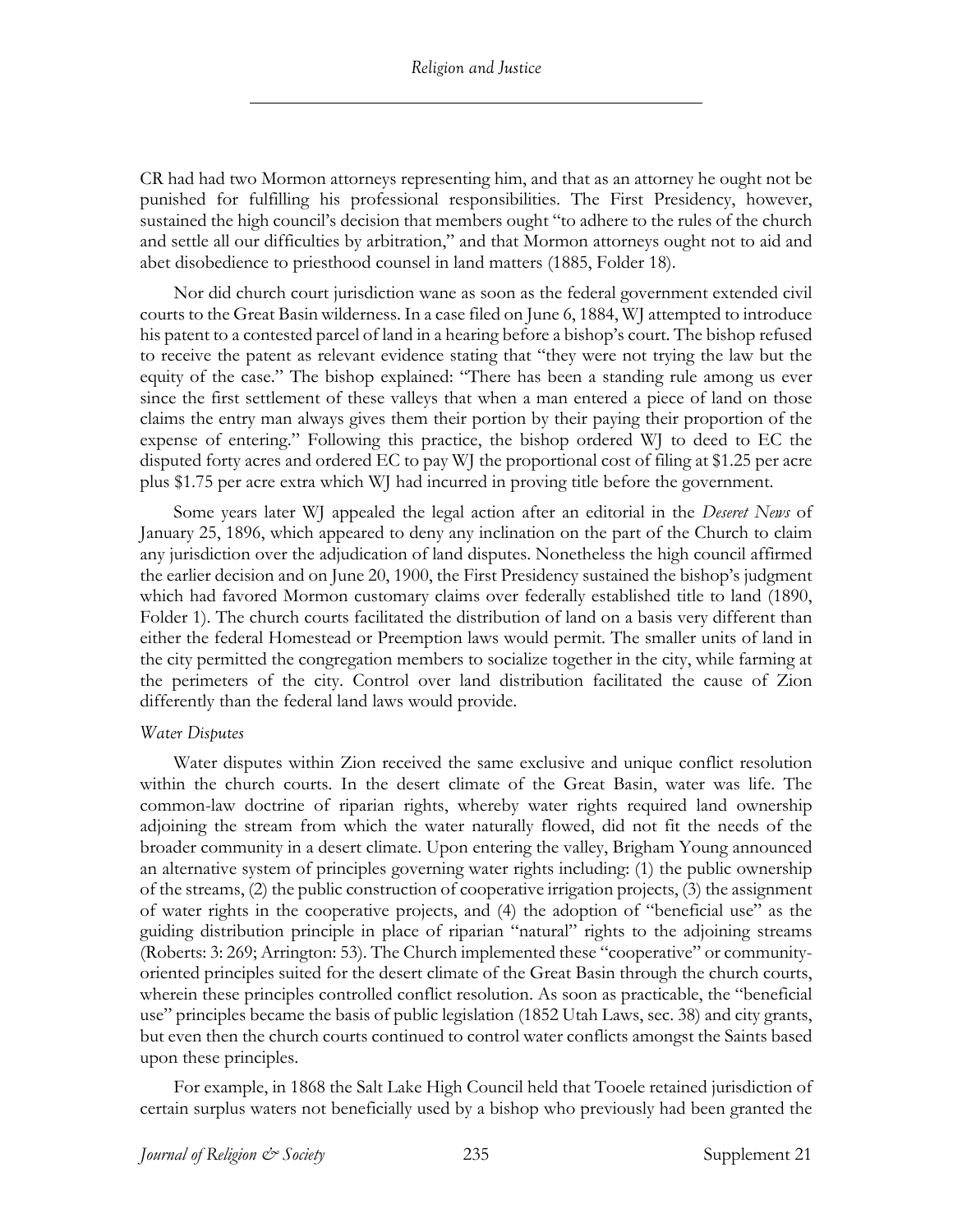CR had had two Mormon attorneys representing him, and that as an attorney he ought not be punished for fulfilling his professional responsibilities. The First Presidency, however, sustained the high council's decision that members ought "to adhere to the rules of the church and settle all our difficulties by arbitration," and that Mormon attorneys ought not to aid and abet disobedience to priesthood counsel in land matters (1885, Folder 18).

Nor did church court jurisdiction wane as soon as the federal government extended civil courts to the Great Basin wilderness. In a case filed on June 6, 1884, WJ attempted to introduce his patent to a contested parcel of land in a hearing before a bishop's court. The bishop refused to receive the patent as relevant evidence stating that "they were not trying the law but the equity of the case." The bishop explained: "There has been a standing rule among us ever since the first settlement of these valleys that when a man entered a piece of land on those claims the entry man always gives them their portion by their paying their proportion of the expense of entering." Following this practice, the bishop ordered WJ to deed to EC the disputed forty acres and ordered EC to pay WJ the proportional cost of filing at \$1.25 per acre plus \$1.75 per acre extra which WJ had incurred in proving title before the government.

Some years later WJ appealed the legal action after an editorial in the *Deseret News* of January 25, 1896, which appeared to deny any inclination on the part of the Church to claim any jurisdiction over the adjudication of land disputes. Nonetheless the high council affirmed the earlier decision and on June 20, 1900, the First Presidency sustained the bishop's judgment which had favored Mormon customary claims over federally established title to land (1890, Folder 1). The church courts facilitated the distribution of land on a basis very different than either the federal Homestead or Preemption laws would permit. The smaller units of land in the city permitted the congregation members to socialize together in the city, while farming at the perimeters of the city. Control over land distribution facilitated the cause of Zion differently than the federal land laws would provide.

#### *Water Disputes*

Water disputes within Zion received the same exclusive and unique conflict resolution within the church courts. In the desert climate of the Great Basin, water was life. The common-law doctrine of riparian rights, whereby water rights required land ownership adjoining the stream from which the water naturally flowed, did not fit the needs of the broader community in a desert climate. Upon entering the valley, Brigham Young announced an alternative system of principles governing water rights including: (1) the public ownership of the streams, (2) the public construction of cooperative irrigation projects, (3) the assignment of water rights in the cooperative projects, and (4) the adoption of "beneficial use" as the guiding distribution principle in place of riparian "natural" rights to the adjoining streams (Roberts: 3: 269; Arrington: 53). The Church implemented these "cooperative" or communityoriented principles suited for the desert climate of the Great Basin through the church courts, wherein these principles controlled conflict resolution. As soon as practicable, the "beneficial use" principles became the basis of public legislation (1852 Utah Laws, sec. 38) and city grants, but even then the church courts continued to control water conflicts amongst the Saints based upon these principles.

For example, in 1868 the Salt Lake High Council held that Tooele retained jurisdiction of certain surplus waters not beneficially used by a bishop who previously had been granted the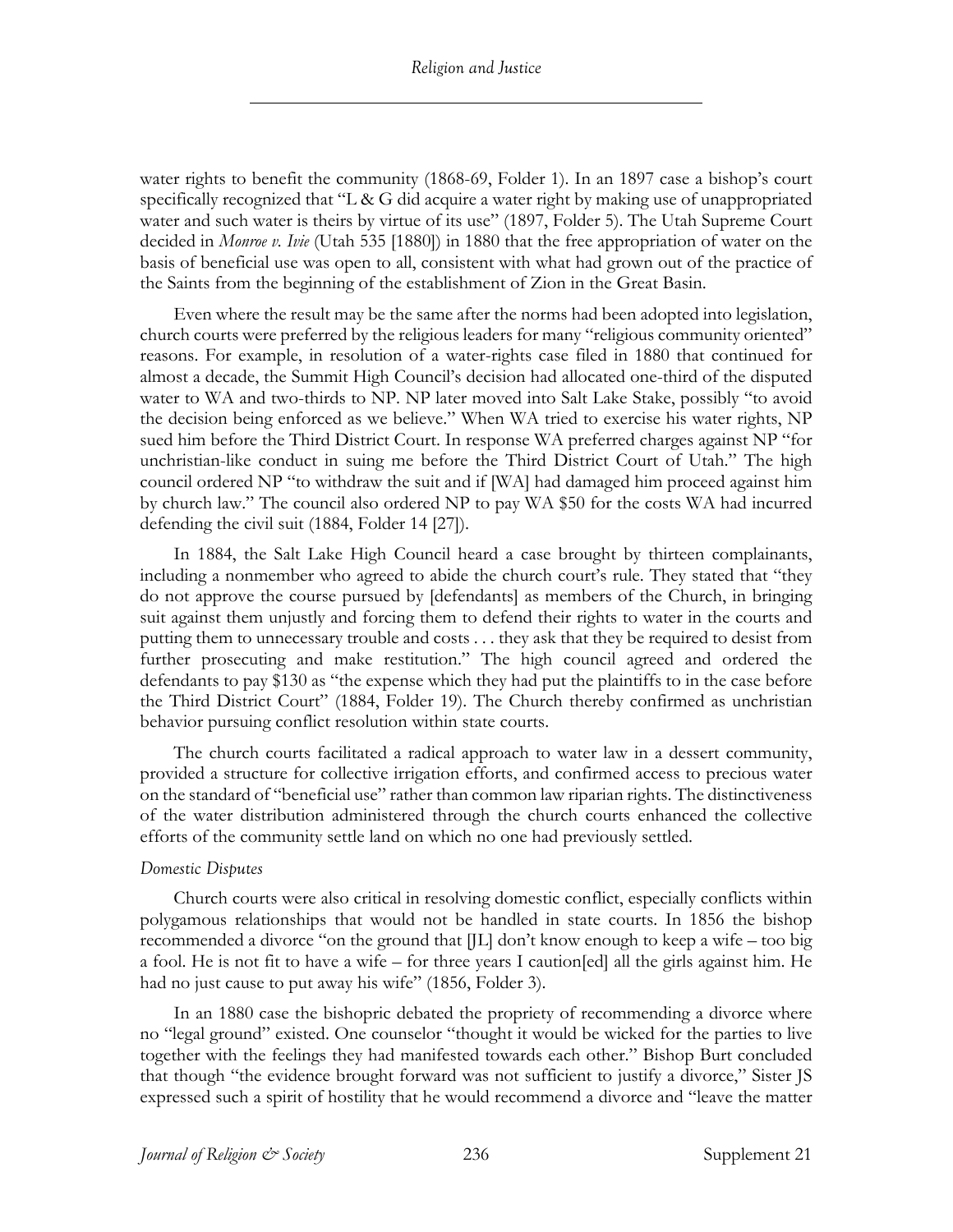water rights to benefit the community (1868-69, Folder 1). In an 1897 case a bishop's court specifically recognized that "L & G did acquire a water right by making use of unappropriated water and such water is theirs by virtue of its use" (1897, Folder 5). The Utah Supreme Court decided in *Monroe v. Ivie* (Utah 535 [1880]) in 1880 that the free appropriation of water on the basis of beneficial use was open to all, consistent with what had grown out of the practice of the Saints from the beginning of the establishment of Zion in the Great Basin.

Even where the result may be the same after the norms had been adopted into legislation, church courts were preferred by the religious leaders for many "religious community oriented" reasons. For example, in resolution of a water-rights case filed in 1880 that continued for almost a decade, the Summit High Council's decision had allocated one-third of the disputed water to WA and two-thirds to NP. NP later moved into Salt Lake Stake, possibly "to avoid the decision being enforced as we believe." When WA tried to exercise his water rights, NP sued him before the Third District Court. In response WA preferred charges against NP "for unchristian-like conduct in suing me before the Third District Court of Utah." The high council ordered NP "to withdraw the suit and if [WA] had damaged him proceed against him by church law." The council also ordered NP to pay WA \$50 for the costs WA had incurred defending the civil suit (1884, Folder 14 [27]).

In 1884, the Salt Lake High Council heard a case brought by thirteen complainants, including a nonmember who agreed to abide the church court's rule. They stated that "they do not approve the course pursued by [defendants] as members of the Church, in bringing suit against them unjustly and forcing them to defend their rights to water in the courts and putting them to unnecessary trouble and costs . . . they ask that they be required to desist from further prosecuting and make restitution." The high council agreed and ordered the defendants to pay \$130 as "the expense which they had put the plaintiffs to in the case before the Third District Court" (1884, Folder 19). The Church thereby confirmed as unchristian behavior pursuing conflict resolution within state courts.

The church courts facilitated a radical approach to water law in a dessert community, provided a structure for collective irrigation efforts, and confirmed access to precious water on the standard of "beneficial use" rather than common law riparian rights. The distinctiveness of the water distribution administered through the church courts enhanced the collective efforts of the community settle land on which no one had previously settled.

#### *Domestic Disputes*

Church courts were also critical in resolving domestic conflict, especially conflicts within polygamous relationships that would not be handled in state courts. In 1856 the bishop recommended a divorce "on the ground that [JL] don't know enough to keep a wife – too big a fool. He is not fit to have a wife – for three years I caution[ed] all the girls against him. He had no just cause to put away his wife" (1856, Folder 3).

In an 1880 case the bishopric debated the propriety of recommending a divorce where no "legal ground" existed. One counselor "thought it would be wicked for the parties to live together with the feelings they had manifested towards each other." Bishop Burt concluded that though "the evidence brought forward was not sufficient to justify a divorce," Sister JS expressed such a spirit of hostility that he would recommend a divorce and "leave the matter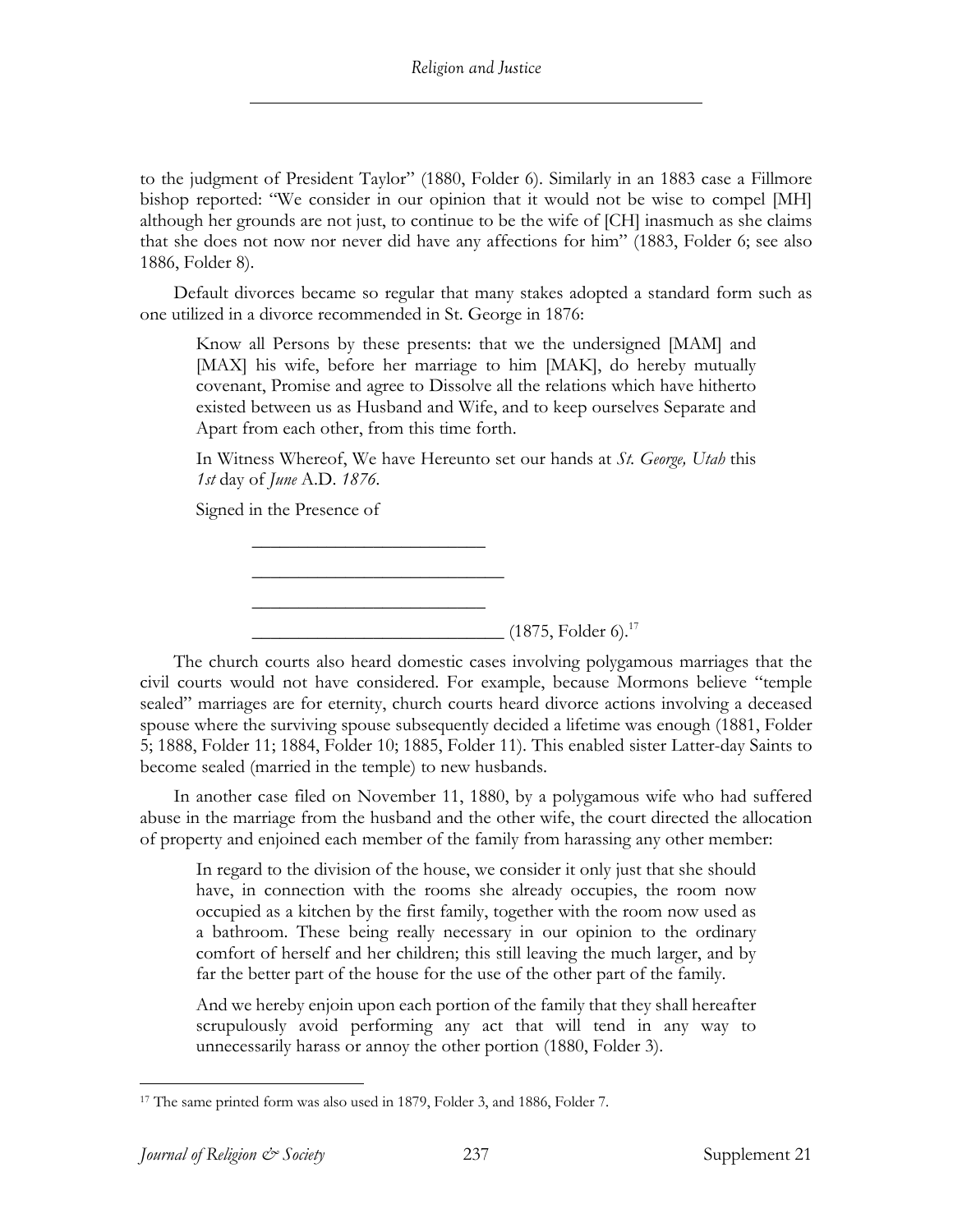to the judgment of President Taylor" (1880, Folder 6). Similarly in an 1883 case a Fillmore bishop reported: "We consider in our opinion that it would not be wise to compel [MH] although her grounds are not just, to continue to be the wife of [CH] inasmuch as she claims that she does not now nor never did have any affections for him" (1883, Folder 6; see also 1886, Folder 8).

Default divorces became so regular that many stakes adopted a standard form such as one utilized in a divorce recommended in St. George in 1876:

Know all Persons by these presents: that we the undersigned [MAM] and [MAX] his wife, before her marriage to him [MAK], do hereby mutually covenant, Promise and agree to Dissolve all the relations which have hitherto existed between us as Husband and Wife, and to keep ourselves Separate and Apart from each other, from this time forth.

In Witness Whereof, We have Hereunto set our hands at *St. George, Utah* this *1st* day of *June* A.D. *1876.*

Signed in the Presence of

\_\_\_\_\_\_\_\_\_\_\_\_\_\_\_\_\_\_\_\_\_\_\_\_\_

\_\_\_\_\_\_\_\_\_\_\_\_\_\_\_\_\_\_\_\_\_\_\_\_\_

 $\overline{\phantom{a}}$  , where  $\overline{\phantom{a}}$  , where  $\overline{\phantom{a}}$  , where  $\overline{\phantom{a}}$ 

 $\frac{1}{2}$  (1875, Folder 6).<sup>17</sup>

The church courts also heard domestic cases involving polygamous marriages that the civil courts would not have considered. For example, because Mormons believe "temple sealed" marriages are for eternity, church courts heard divorce actions involving a deceased spouse where the surviving spouse subsequently decided a lifetime was enough (1881, Folder 5; 1888, Folder 11; 1884, Folder 10; 1885, Folder 11). This enabled sister Latter-day Saints to become sealed (married in the temple) to new husbands.

In another case filed on November 11, 1880, by a polygamous wife who had suffered abuse in the marriage from the husband and the other wife, the court directed the allocation of property and enjoined each member of the family from harassing any other member:

In regard to the division of the house, we consider it only just that she should have, in connection with the rooms she already occupies, the room now occupied as a kitchen by the first family, together with the room now used as a bathroom. These being really necessary in our opinion to the ordinary comfort of herself and her children; this still leaving the much larger, and by far the better part of the house for the use of the other part of the family.

And we hereby enjoin upon each portion of the family that they shall hereafter scrupulously avoid performing any act that will tend in any way to unnecessarily harass or annoy the other portion (1880, Folder 3).

<sup>17</sup> The same printed form was also used in 1879, Folder 3, and 1886, Folder 7.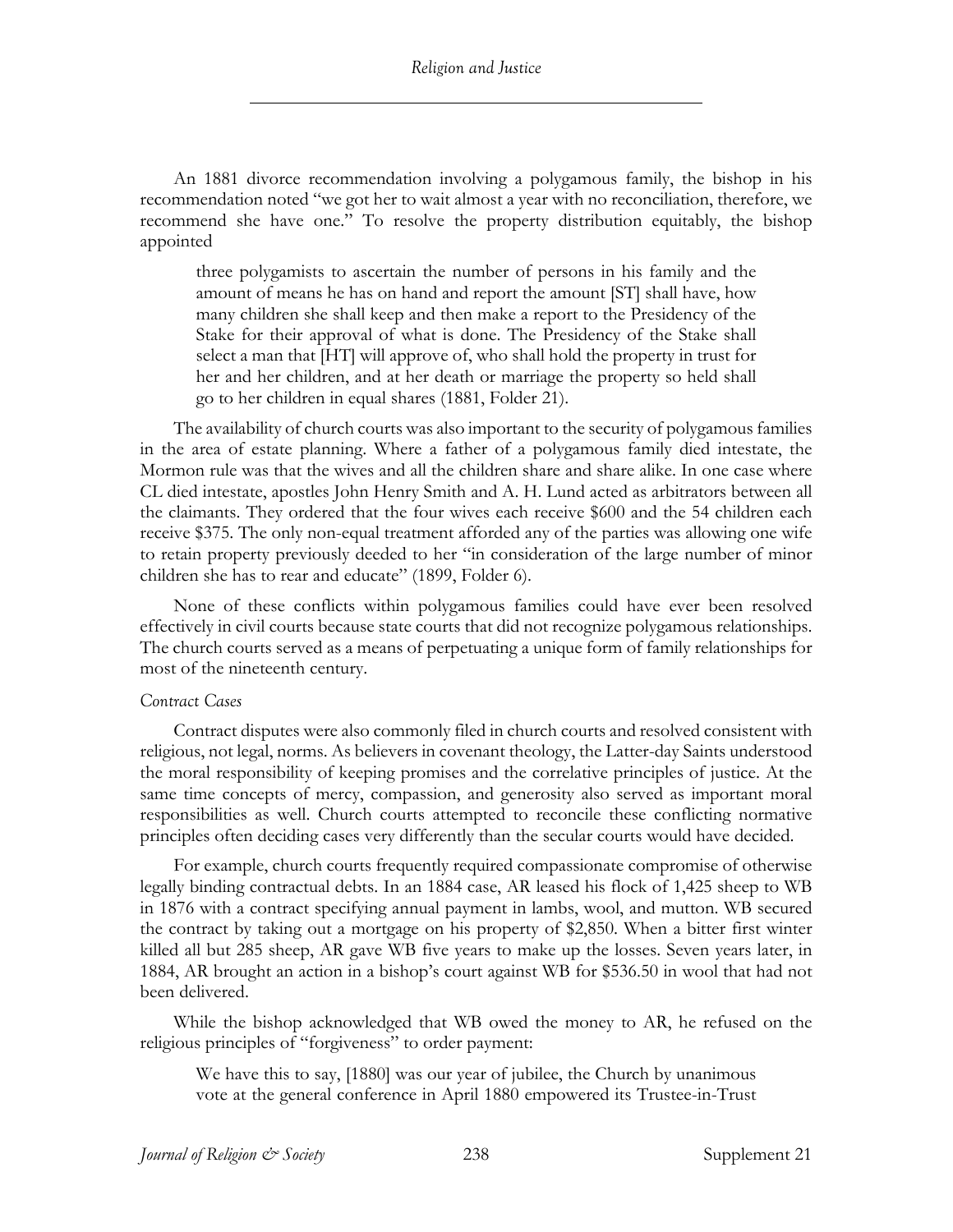An 1881 divorce recommendation involving a polygamous family, the bishop in his recommendation noted "we got her to wait almost a year with no reconciliation, therefore, we recommend she have one." To resolve the property distribution equitably, the bishop appointed

three polygamists to ascertain the number of persons in his family and the amount of means he has on hand and report the amount [ST] shall have, how many children she shall keep and then make a report to the Presidency of the Stake for their approval of what is done. The Presidency of the Stake shall select a man that [HT] will approve of, who shall hold the property in trust for her and her children, and at her death or marriage the property so held shall go to her children in equal shares (1881, Folder 21).

The availability of church courts was also important to the security of polygamous families in the area of estate planning. Where a father of a polygamous family died intestate, the Mormon rule was that the wives and all the children share and share alike. In one case where CL died intestate, apostles John Henry Smith and A. H. Lund acted as arbitrators between all the claimants. They ordered that the four wives each receive \$600 and the 54 children each receive \$375. The only non-equal treatment afforded any of the parties was allowing one wife to retain property previously deeded to her "in consideration of the large number of minor children she has to rear and educate" (1899, Folder 6).

None of these conflicts within polygamous families could have ever been resolved effectively in civil courts because state courts that did not recognize polygamous relationships. The church courts served as a means of perpetuating a unique form of family relationships for most of the nineteenth century.

#### *Contract Cases*

Contract disputes were also commonly filed in church courts and resolved consistent with religious, not legal, norms. As believers in covenant theology, the Latter-day Saints understood the moral responsibility of keeping promises and the correlative principles of justice. At the same time concepts of mercy, compassion, and generosity also served as important moral responsibilities as well. Church courts attempted to reconcile these conflicting normative principles often deciding cases very differently than the secular courts would have decided.

For example, church courts frequently required compassionate compromise of otherwise legally binding contractual debts. In an 1884 case, AR leased his flock of 1,425 sheep to WB in 1876 with a contract specifying annual payment in lambs, wool, and mutton. WB secured the contract by taking out a mortgage on his property of \$2,850. When a bitter first winter killed all but 285 sheep, AR gave WB five years to make up the losses. Seven years later, in 1884, AR brought an action in a bishop's court against WB for \$536.50 in wool that had not been delivered.

While the bishop acknowledged that WB owed the money to AR, he refused on the religious principles of "forgiveness" to order payment:

We have this to say, [1880] was our year of jubilee, the Church by unanimous vote at the general conference in April 1880 empowered its Trustee-in-Trust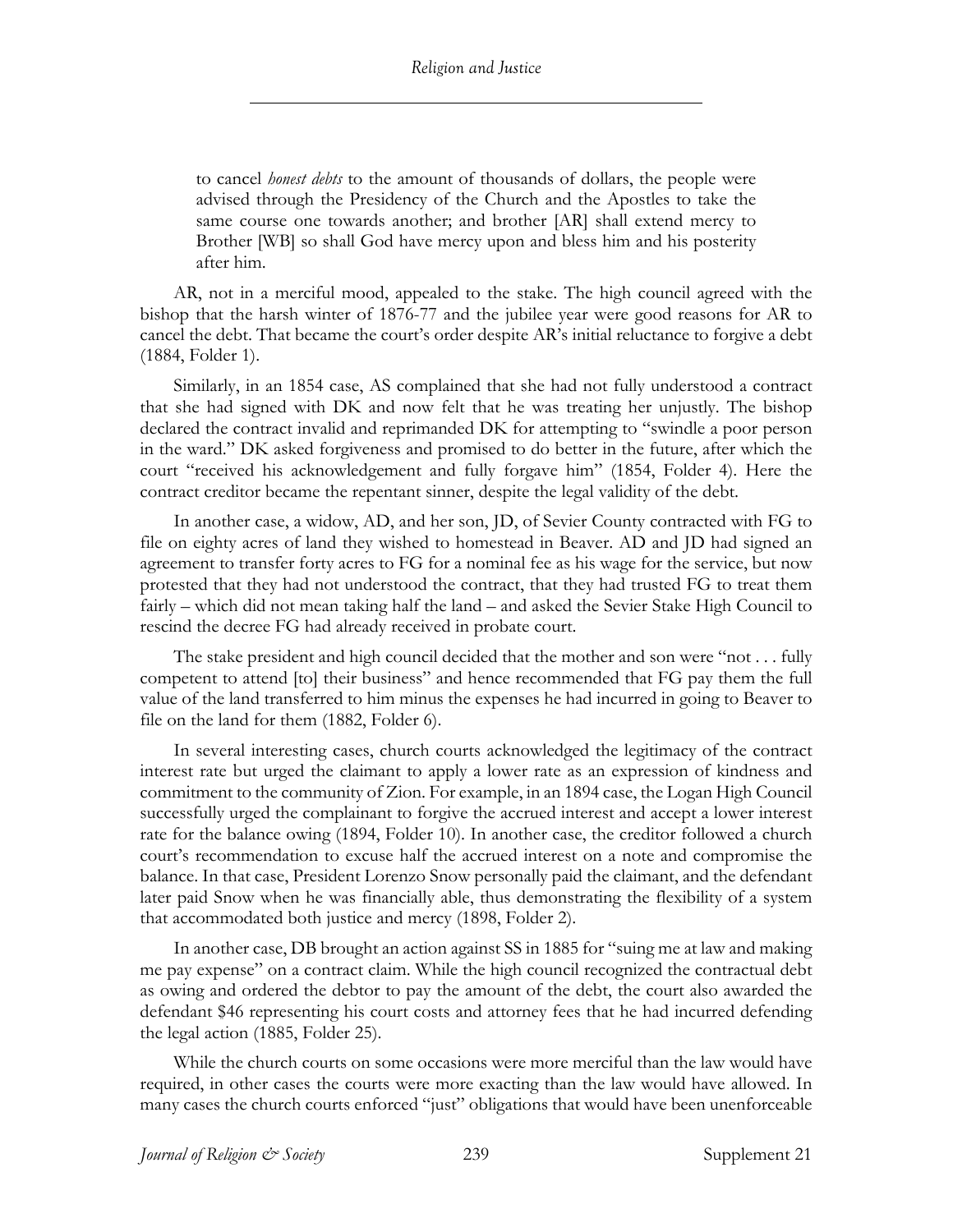to cancel *honest debts* to the amount of thousands of dollars, the people were advised through the Presidency of the Church and the Apostles to take the same course one towards another; and brother [AR] shall extend mercy to Brother [WB] so shall God have mercy upon and bless him and his posterity after him.

AR, not in a merciful mood, appealed to the stake. The high council agreed with the bishop that the harsh winter of 1876-77 and the jubilee year were good reasons for AR to cancel the debt. That became the court's order despite AR's initial reluctance to forgive a debt (1884, Folder 1).

Similarly, in an 1854 case, AS complained that she had not fully understood a contract that she had signed with DK and now felt that he was treating her unjustly. The bishop declared the contract invalid and reprimanded DK for attempting to "swindle a poor person in the ward." DK asked forgiveness and promised to do better in the future, after which the court "received his acknowledgement and fully forgave him" (1854, Folder 4). Here the contract creditor became the repentant sinner, despite the legal validity of the debt.

In another case, a widow, AD, and her son, JD, of Sevier County contracted with FG to file on eighty acres of land they wished to homestead in Beaver. AD and JD had signed an agreement to transfer forty acres to FG for a nominal fee as his wage for the service, but now protested that they had not understood the contract, that they had trusted FG to treat them fairly – which did not mean taking half the land – and asked the Sevier Stake High Council to rescind the decree FG had already received in probate court.

The stake president and high council decided that the mother and son were "not . . . fully competent to attend [to] their business" and hence recommended that FG pay them the full value of the land transferred to him minus the expenses he had incurred in going to Beaver to file on the land for them (1882, Folder 6).

In several interesting cases, church courts acknowledged the legitimacy of the contract interest rate but urged the claimant to apply a lower rate as an expression of kindness and commitment to the community of Zion. For example, in an 1894 case, the Logan High Council successfully urged the complainant to forgive the accrued interest and accept a lower interest rate for the balance owing (1894, Folder 10). In another case, the creditor followed a church court's recommendation to excuse half the accrued interest on a note and compromise the balance. In that case, President Lorenzo Snow personally paid the claimant, and the defendant later paid Snow when he was financially able, thus demonstrating the flexibility of a system that accommodated both justice and mercy (1898, Folder 2).

In another case, DB brought an action against SS in 1885 for "suing me at law and making me pay expense" on a contract claim. While the high council recognized the contractual debt as owing and ordered the debtor to pay the amount of the debt, the court also awarded the defendant \$46 representing his court costs and attorney fees that he had incurred defending the legal action (1885, Folder 25).

While the church courts on some occasions were more merciful than the law would have required, in other cases the courts were more exacting than the law would have allowed. In many cases the church courts enforced "just" obligations that would have been unenforceable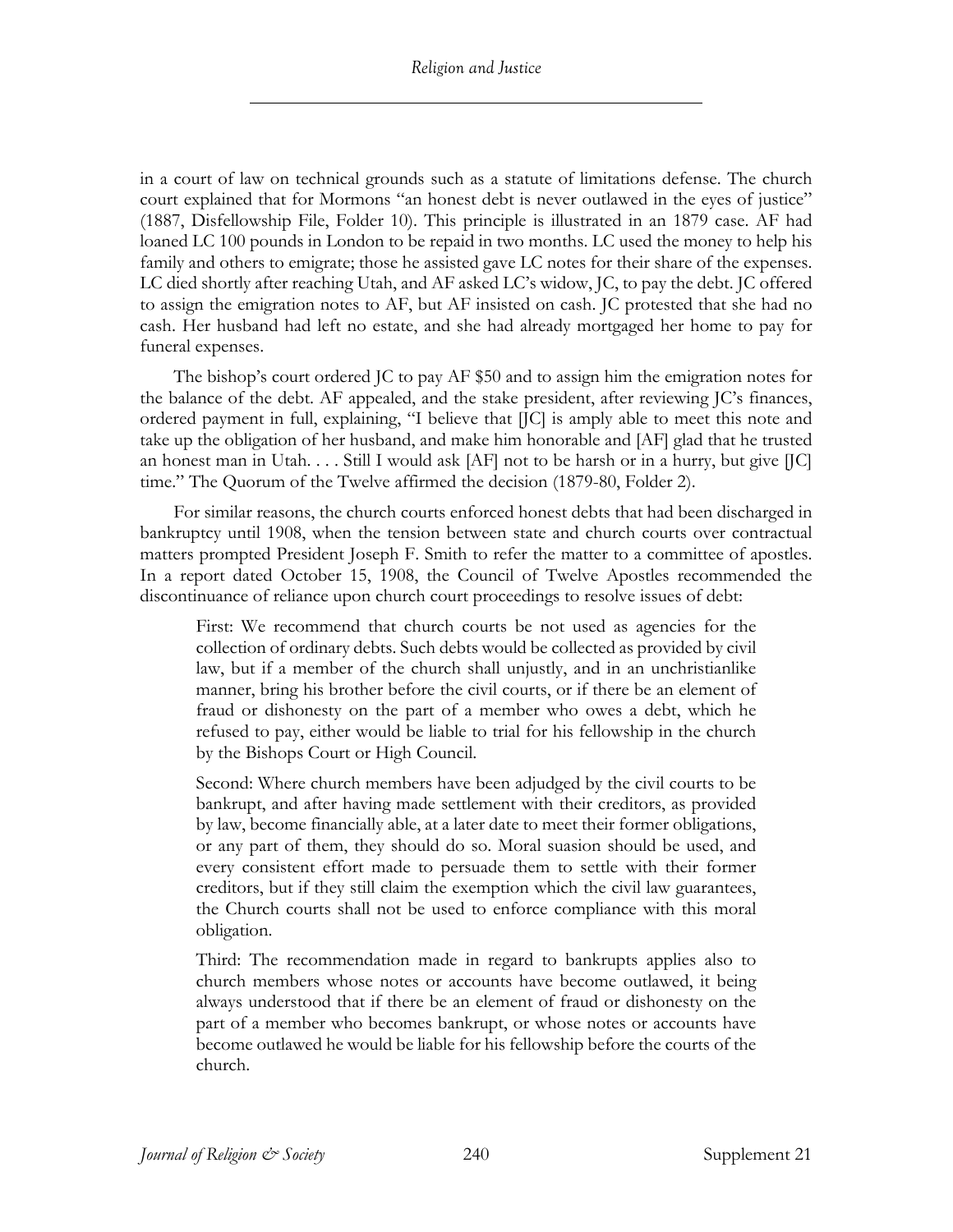in a court of law on technical grounds such as a statute of limitations defense. The church court explained that for Mormons "an honest debt is never outlawed in the eyes of justice" (1887, Disfellowship File, Folder 10). This principle is illustrated in an 1879 case. AF had loaned LC 100 pounds in London to be repaid in two months. LC used the money to help his family and others to emigrate; those he assisted gave LC notes for their share of the expenses. LC died shortly after reaching Utah, and AF asked LC's widow, JC, to pay the debt. JC offered to assign the emigration notes to AF, but AF insisted on cash. JC protested that she had no cash. Her husband had left no estate, and she had already mortgaged her home to pay for funeral expenses.

The bishop's court ordered JC to pay AF \$50 and to assign him the emigration notes for the balance of the debt. AF appealed, and the stake president, after reviewing JC's finances, ordered payment in full, explaining, "I believe that [JC] is amply able to meet this note and take up the obligation of her husband, and make him honorable and [AF] glad that he trusted an honest man in Utah. . . . Still I would ask [AF] not to be harsh or in a hurry, but give [JC] time." The Quorum of the Twelve affirmed the decision (1879-80, Folder 2).

For similar reasons, the church courts enforced honest debts that had been discharged in bankruptcy until 1908, when the tension between state and church courts over contractual matters prompted President Joseph F. Smith to refer the matter to a committee of apostles. In a report dated October 15, 1908, the Council of Twelve Apostles recommended the discontinuance of reliance upon church court proceedings to resolve issues of debt:

First: We recommend that church courts be not used as agencies for the collection of ordinary debts. Such debts would be collected as provided by civil law, but if a member of the church shall unjustly, and in an unchristianlike manner, bring his brother before the civil courts, or if there be an element of fraud or dishonesty on the part of a member who owes a debt, which he refused to pay, either would be liable to trial for his fellowship in the church by the Bishops Court or High Council.

Second: Where church members have been adjudged by the civil courts to be bankrupt, and after having made settlement with their creditors, as provided by law, become financially able, at a later date to meet their former obligations, or any part of them, they should do so. Moral suasion should be used, and every consistent effort made to persuade them to settle with their former creditors, but if they still claim the exemption which the civil law guarantees, the Church courts shall not be used to enforce compliance with this moral obligation.

Third: The recommendation made in regard to bankrupts applies also to church members whose notes or accounts have become outlawed, it being always understood that if there be an element of fraud or dishonesty on the part of a member who becomes bankrupt, or whose notes or accounts have become outlawed he would be liable for his fellowship before the courts of the church.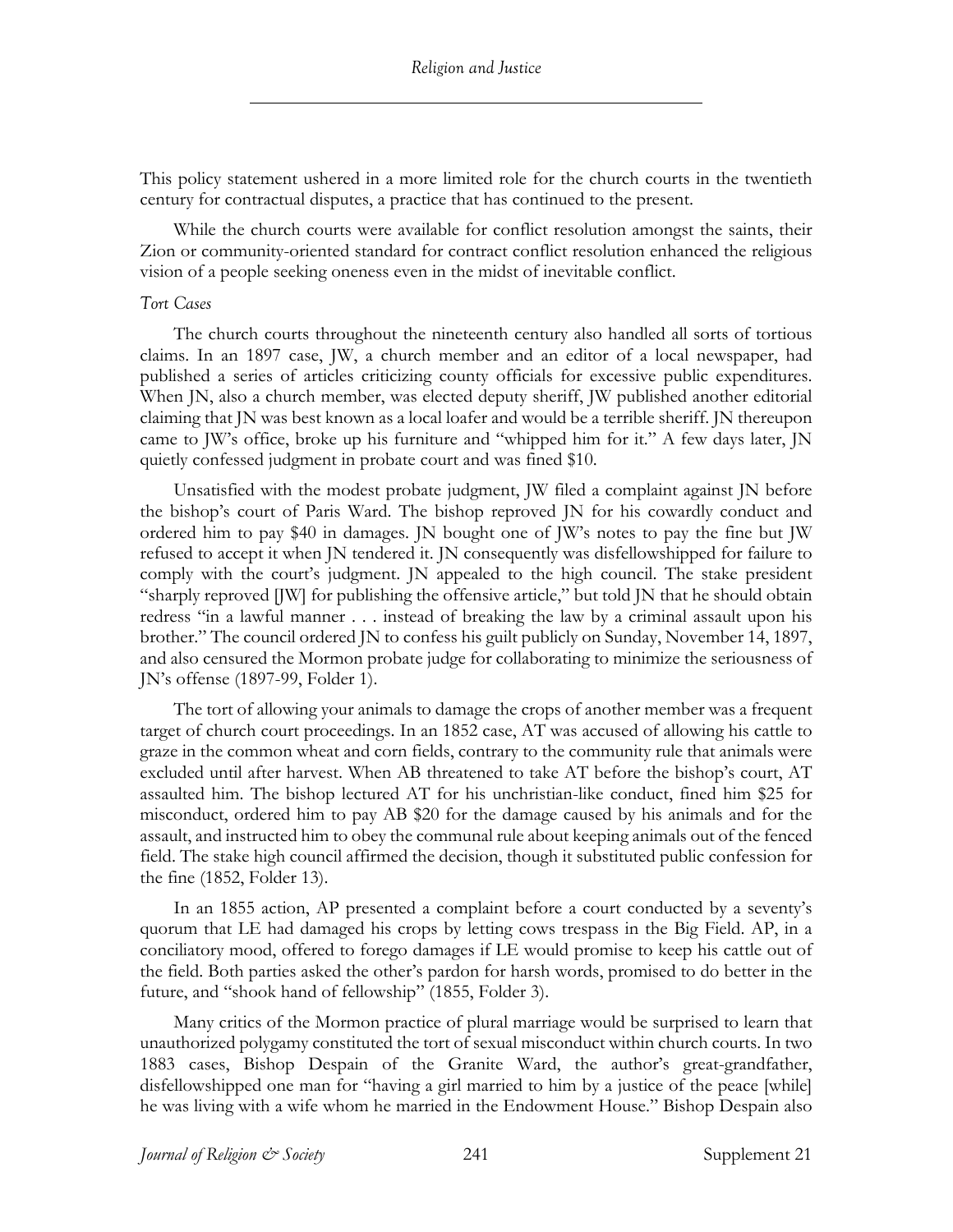This policy statement ushered in a more limited role for the church courts in the twentieth century for contractual disputes, a practice that has continued to the present.

While the church courts were available for conflict resolution amongst the saints, their Zion or community-oriented standard for contract conflict resolution enhanced the religious vision of a people seeking oneness even in the midst of inevitable conflict.

#### *Tort Cases*

The church courts throughout the nineteenth century also handled all sorts of tortious claims. In an 1897 case, JW, a church member and an editor of a local newspaper, had published a series of articles criticizing county officials for excessive public expenditures. When JN, also a church member, was elected deputy sheriff, JW published another editorial claiming that JN was best known as a local loafer and would be a terrible sheriff. JN thereupon came to JW's office, broke up his furniture and "whipped him for it." A few days later, JN quietly confessed judgment in probate court and was fined \$10.

Unsatisfied with the modest probate judgment, JW filed a complaint against JN before the bishop's court of Paris Ward. The bishop reproved JN for his cowardly conduct and ordered him to pay \$40 in damages. JN bought one of JW's notes to pay the fine but JW refused to accept it when JN tendered it. JN consequently was disfellowshipped for failure to comply with the court's judgment. JN appealed to the high council. The stake president "sharply reproved [JW] for publishing the offensive article," but told JN that he should obtain redress "in a lawful manner . . . instead of breaking the law by a criminal assault upon his brother." The council ordered JN to confess his guilt publicly on Sunday, November 14, 1897, and also censured the Mormon probate judge for collaborating to minimize the seriousness of JN's offense (1897-99, Folder 1).

The tort of allowing your animals to damage the crops of another member was a frequent target of church court proceedings. In an 1852 case, AT was accused of allowing his cattle to graze in the common wheat and corn fields, contrary to the community rule that animals were excluded until after harvest. When AB threatened to take AT before the bishop's court, AT assaulted him. The bishop lectured AT for his unchristian-like conduct, fined him \$25 for misconduct, ordered him to pay AB \$20 for the damage caused by his animals and for the assault, and instructed him to obey the communal rule about keeping animals out of the fenced field. The stake high council affirmed the decision, though it substituted public confession for the fine (1852, Folder 13).

In an 1855 action, AP presented a complaint before a court conducted by a seventy's quorum that LE had damaged his crops by letting cows trespass in the Big Field. AP, in a conciliatory mood, offered to forego damages if LE would promise to keep his cattle out of the field. Both parties asked the other's pardon for harsh words, promised to do better in the future, and "shook hand of fellowship" (1855, Folder 3).

Many critics of the Mormon practice of plural marriage would be surprised to learn that unauthorized polygamy constituted the tort of sexual misconduct within church courts. In two 1883 cases, Bishop Despain of the Granite Ward, the author's great-grandfather, disfellowshipped one man for "having a girl married to him by a justice of the peace [while] he was living with a wife whom he married in the Endowment House." Bishop Despain also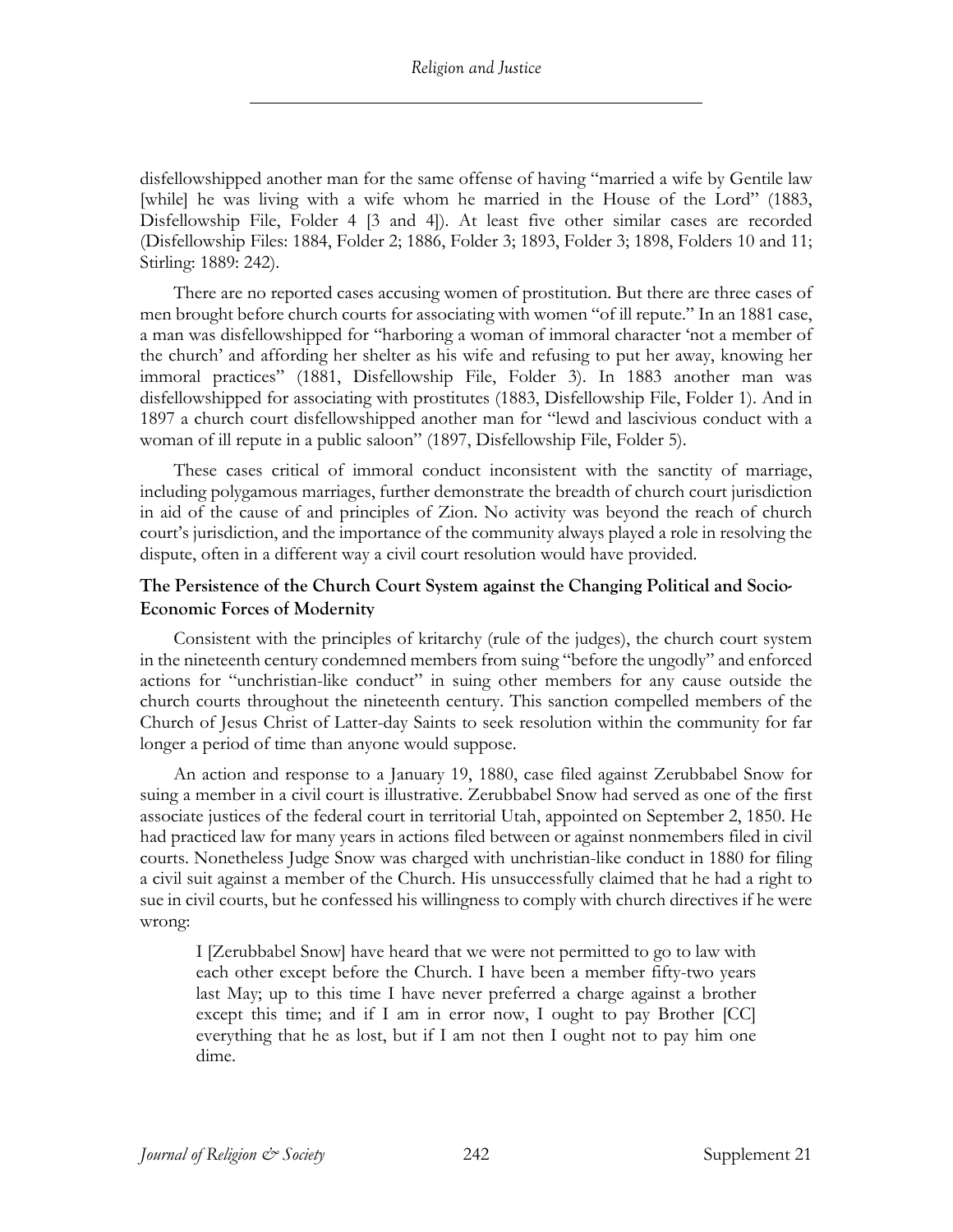disfellowshipped another man for the same offense of having "married a wife by Gentile law [while] he was living with a wife whom he married in the House of the Lord" (1883, Disfellowship File, Folder 4 [3 and 4]). At least five other similar cases are recorded (Disfellowship Files: 1884, Folder 2; 1886, Folder 3; 1893, Folder 3; 1898, Folders 10 and 11; Stirling: 1889: 242).

There are no reported cases accusing women of prostitution. But there are three cases of men brought before church courts for associating with women "of ill repute." In an 1881 case, a man was disfellowshipped for "harboring a woman of immoral character 'not a member of the church' and affording her shelter as his wife and refusing to put her away, knowing her immoral practices" (1881, Disfellowship File, Folder 3). In 1883 another man was disfellowshipped for associating with prostitutes (1883, Disfellowship File, Folder 1). And in 1897 a church court disfellowshipped another man for "lewd and lascivious conduct with a woman of ill repute in a public saloon" (1897, Disfellowship File, Folder 5).

These cases critical of immoral conduct inconsistent with the sanctity of marriage, including polygamous marriages, further demonstrate the breadth of church court jurisdiction in aid of the cause of and principles of Zion. No activity was beyond the reach of church court's jurisdiction, and the importance of the community always played a role in resolving the dispute, often in a different way a civil court resolution would have provided.

#### **The Persistence of the Church Court System against the Changing Political and Socio-Economic Forces of Modernity**

Consistent with the principles of kritarchy (rule of the judges), the church court system in the nineteenth century condemned members from suing "before the ungodly" and enforced actions for "unchristian-like conduct" in suing other members for any cause outside the church courts throughout the nineteenth century. This sanction compelled members of the Church of Jesus Christ of Latter-day Saints to seek resolution within the community for far longer a period of time than anyone would suppose.

An action and response to a January 19, 1880, case filed against Zerubbabel Snow for suing a member in a civil court is illustrative. Zerubbabel Snow had served as one of the first associate justices of the federal court in territorial Utah, appointed on September 2, 1850. He had practiced law for many years in actions filed between or against nonmembers filed in civil courts. Nonetheless Judge Snow was charged with unchristian-like conduct in 1880 for filing a civil suit against a member of the Church. His unsuccessfully claimed that he had a right to sue in civil courts, but he confessed his willingness to comply with church directives if he were wrong:

I [Zerubbabel Snow] have heard that we were not permitted to go to law with each other except before the Church. I have been a member fifty-two years last May; up to this time I have never preferred a charge against a brother except this time; and if I am in error now, I ought to pay Brother [CC] everything that he as lost, but if I am not then I ought not to pay him one dime.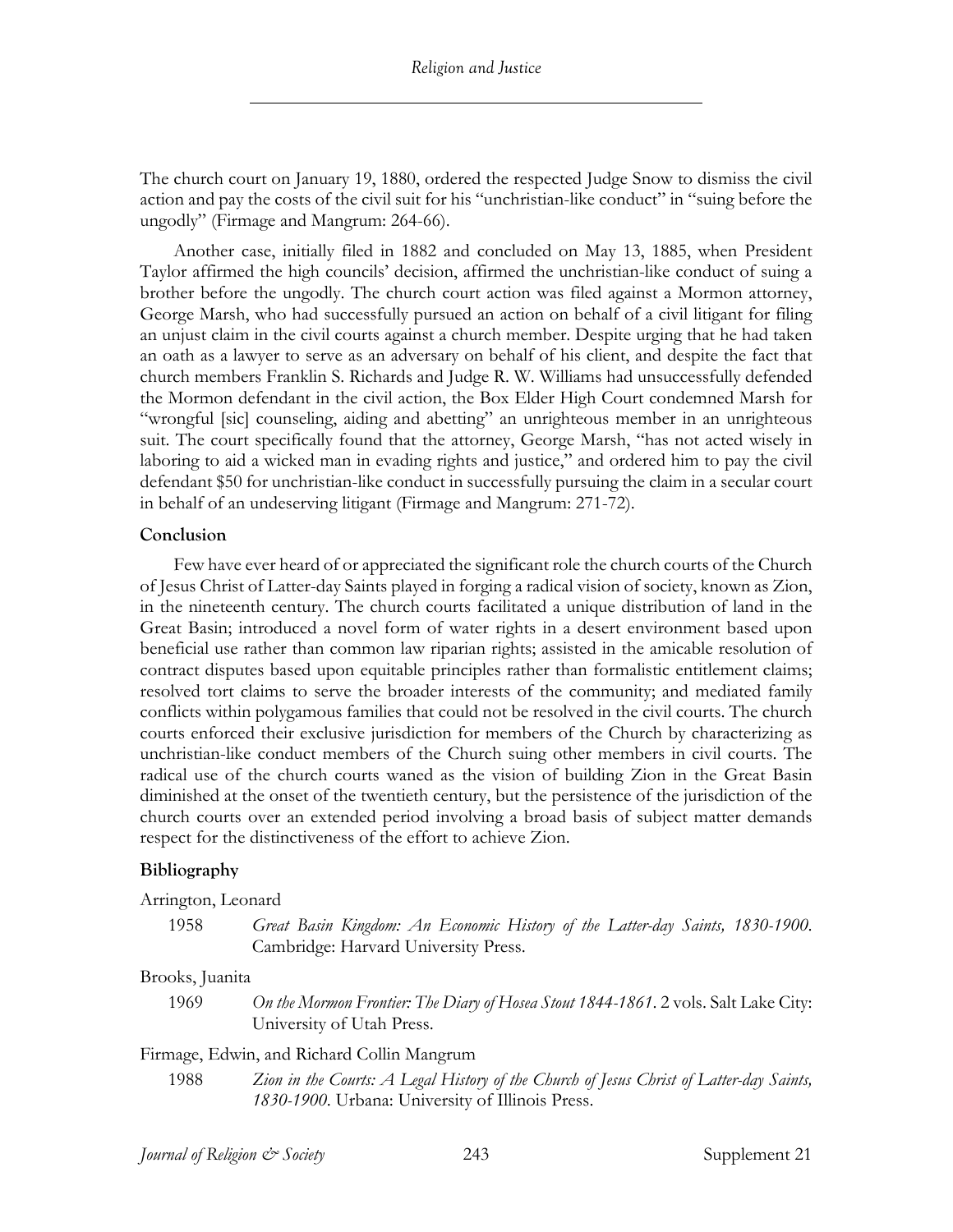The church court on January 19, 1880, ordered the respected Judge Snow to dismiss the civil action and pay the costs of the civil suit for his "unchristian-like conduct" in "suing before the ungodly" (Firmage and Mangrum: 264-66).

Another case, initially filed in 1882 and concluded on May 13, 1885, when President Taylor affirmed the high councils' decision, affirmed the unchristian-like conduct of suing a brother before the ungodly. The church court action was filed against a Mormon attorney, George Marsh, who had successfully pursued an action on behalf of a civil litigant for filing an unjust claim in the civil courts against a church member. Despite urging that he had taken an oath as a lawyer to serve as an adversary on behalf of his client, and despite the fact that church members Franklin S. Richards and Judge R. W. Williams had unsuccessfully defended the Mormon defendant in the civil action, the Box Elder High Court condemned Marsh for "wrongful [sic] counseling, aiding and abetting" an unrighteous member in an unrighteous suit. The court specifically found that the attorney, George Marsh, "has not acted wisely in laboring to aid a wicked man in evading rights and justice," and ordered him to pay the civil defendant \$50 for unchristian-like conduct in successfully pursuing the claim in a secular court in behalf of an undeserving litigant (Firmage and Mangrum: 271-72).

#### **Conclusion**

Few have ever heard of or appreciated the significant role the church courts of the Church of Jesus Christ of Latter-day Saints played in forging a radical vision of society, known as Zion, in the nineteenth century. The church courts facilitated a unique distribution of land in the Great Basin; introduced a novel form of water rights in a desert environment based upon beneficial use rather than common law riparian rights; assisted in the amicable resolution of contract disputes based upon equitable principles rather than formalistic entitlement claims; resolved tort claims to serve the broader interests of the community; and mediated family conflicts within polygamous families that could not be resolved in the civil courts. The church courts enforced their exclusive jurisdiction for members of the Church by characterizing as unchristian-like conduct members of the Church suing other members in civil courts. The radical use of the church courts waned as the vision of building Zion in the Great Basin diminished at the onset of the twentieth century, but the persistence of the jurisdiction of the church courts over an extended period involving a broad basis of subject matter demands respect for the distinctiveness of the effort to achieve Zion.

#### **Bibliography**

Arrington, Leonard

1958 *Great Basin Kingdom: An Economic History of the Latter-day Saints, 1830-1900*. Cambridge: Harvard University Press.

Brooks, Juanita

1969 *On the Mormon Frontier: The Diary of Hosea Stout 1844-1861*. 2 vols. Salt Lake City: University of Utah Press.

Firmage, Edwin, and Richard Collin Mangrum

1988 *Zion in the Courts: A Legal History of the Church of Jesus Christ of Latter-day Saints, 1830-1900*. Urbana: University of Illinois Press.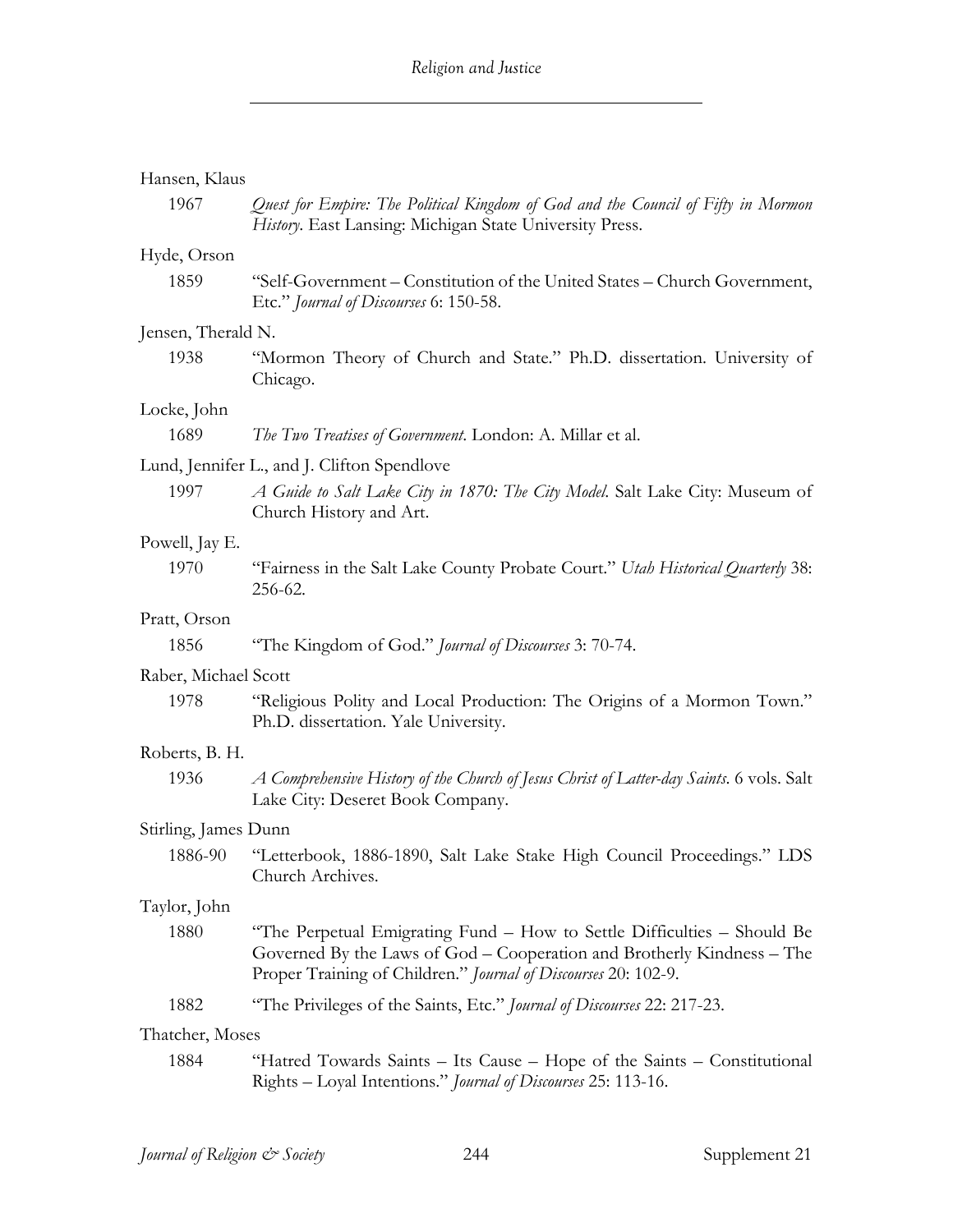| Hansen, Klaus        |                                                                                                                                                                                                                     |
|----------------------|---------------------------------------------------------------------------------------------------------------------------------------------------------------------------------------------------------------------|
| 1967                 | Quest for Empire: The Political Kingdom of God and the Council of Fifty in Mormon<br>History. East Lansing: Michigan State University Press.                                                                        |
| Hyde, Orson          |                                                                                                                                                                                                                     |
| 1859                 | "Self-Government – Constitution of the United States – Church Government,<br>Etc." Journal of Discourses 6: 150-58.                                                                                                 |
| Jensen, Therald N.   |                                                                                                                                                                                                                     |
| 1938                 | "Mormon Theory of Church and State." Ph.D. dissertation. University of<br>Chicago.                                                                                                                                  |
| Locke, John          |                                                                                                                                                                                                                     |
| 1689                 | The Two Treatises of Government. London: A. Millar et al.                                                                                                                                                           |
|                      | Lund, Jennifer L., and J. Clifton Spendlove                                                                                                                                                                         |
| 1997                 | A Guide to Salt Lake City in 1870: The City Model. Salt Lake City: Museum of<br>Church History and Art.                                                                                                             |
| Powell, Jay E.       |                                                                                                                                                                                                                     |
| 1970                 | "Fairness in the Salt Lake County Probate Court." Utah Historical Quarterly 38:<br>256-62.                                                                                                                          |
| Pratt, Orson         |                                                                                                                                                                                                                     |
| 1856                 | "The Kingdom of God." <i>Journal of Discourses</i> 3: 70-74.                                                                                                                                                        |
| Raber, Michael Scott |                                                                                                                                                                                                                     |
| 1978                 | "Religious Polity and Local Production: The Origins of a Mormon Town."<br>Ph.D. dissertation. Yale University.                                                                                                      |
| Roberts, B. H.       |                                                                                                                                                                                                                     |
| 1936                 | A Comprehensive History of the Church of Jesus Christ of Latter-day Saints. 6 vols. Salt<br>Lake City: Deseret Book Company.                                                                                        |
| Stirling, James Dunn |                                                                                                                                                                                                                     |
| 1886-90              | "Letterbook, 1886-1890, Salt Lake Stake High Council Proceedings." LDS<br>Church Archives.                                                                                                                          |
| Taylor, John         |                                                                                                                                                                                                                     |
| 1880                 | "The Perpetual Emigrating Fund – How to Settle Difficulties – Should Be<br>Governed By the Laws of God – Cooperation and Brotherly Kindness – The<br>Proper Training of Children." Journal of Discourses 20: 102-9. |
| 1882                 | "The Privileges of the Saints, Etc." Journal of Discourses 22: 217-23.                                                                                                                                              |
| Thatcher, Moses      |                                                                                                                                                                                                                     |
| 1884                 | "Hatred Towards Saints – Its Cause – Hope of the Saints – Constitutional<br>Rights - Loyal Intentions." Journal of Discourses 25: 113-16.                                                                           |